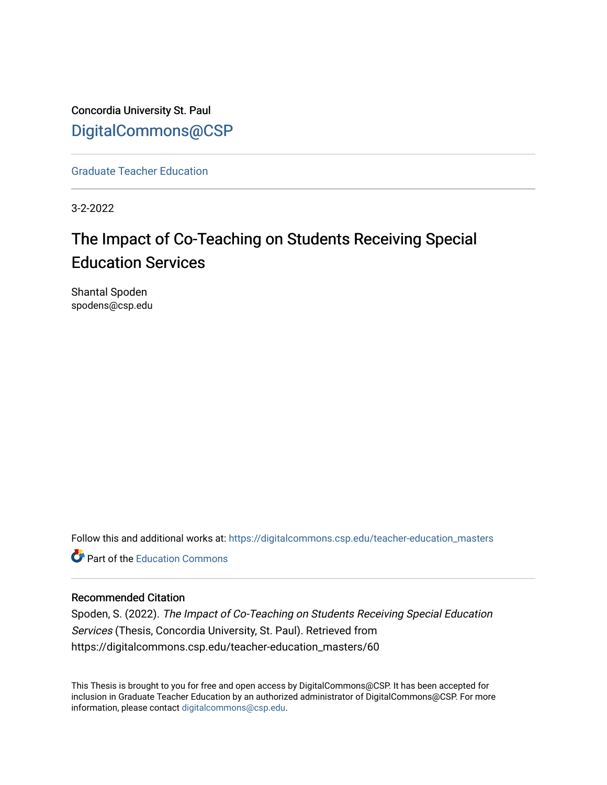Concordia University St. Paul [DigitalCommons@CSP](https://digitalcommons.csp.edu/)

[Graduate Teacher Education](https://digitalcommons.csp.edu/teacher-education_masters)

3-2-2022

# The Impact of Co-Teaching on Students Receiving Special Education Services

Shantal Spoden spodens@csp.edu

Follow this and additional works at: [https://digitalcommons.csp.edu/teacher-education\\_masters](https://digitalcommons.csp.edu/teacher-education_masters?utm_source=digitalcommons.csp.edu%2Fteacher-education_masters%2F60&utm_medium=PDF&utm_campaign=PDFCoverPages)

**P** Part of the [Education Commons](http://network.bepress.com/hgg/discipline/784?utm_source=digitalcommons.csp.edu%2Fteacher-education_masters%2F60&utm_medium=PDF&utm_campaign=PDFCoverPages)

# Recommended Citation

Spoden, S. (2022). The Impact of Co-Teaching on Students Receiving Special Education Services (Thesis, Concordia University, St. Paul). Retrieved from https://digitalcommons.csp.edu/teacher-education\_masters/60

This Thesis is brought to you for free and open access by DigitalCommons@CSP. It has been accepted for inclusion in Graduate Teacher Education by an authorized administrator of DigitalCommons@CSP. For more information, please contact [digitalcommons@csp.edu](mailto:digitalcommons@csp.edu).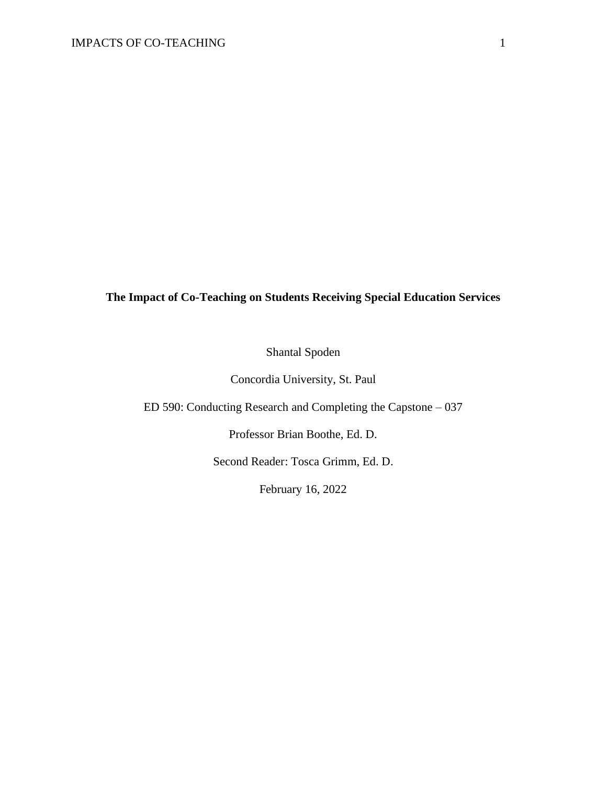# **The Impact of Co-Teaching on Students Receiving Special Education Services**

Shantal Spoden

Concordia University, St. Paul

ED 590: Conducting Research and Completing the Capstone – 037

Professor Brian Boothe, Ed. D.

Second Reader: Tosca Grimm, Ed. D.

February 16, 2022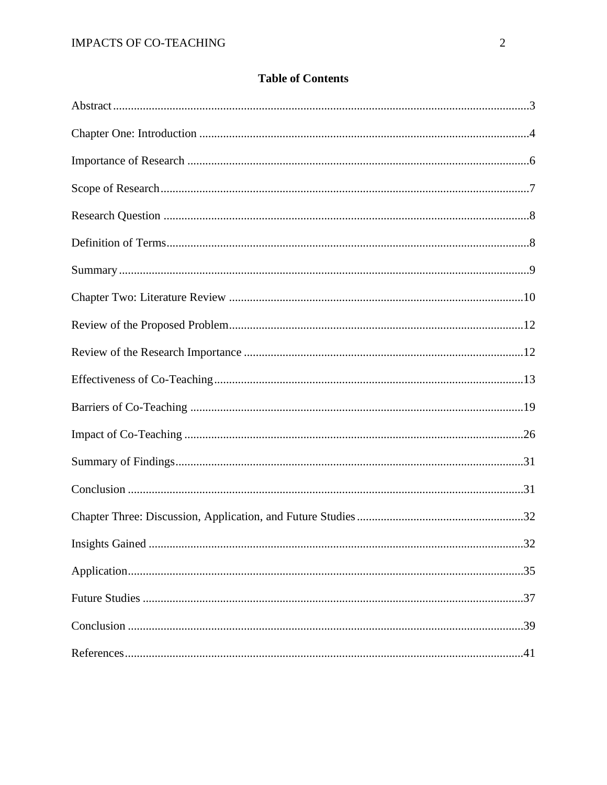# **Table of Contents**

| .32 |
|-----|
|     |
|     |
|     |
|     |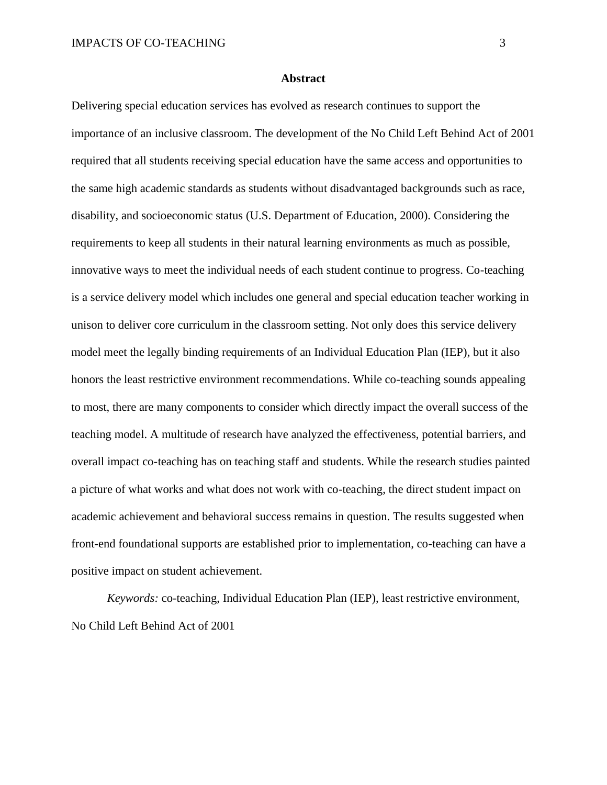#### **Abstract**

Delivering special education services has evolved as research continues to support the importance of an inclusive classroom. The development of the No Child Left Behind Act of 2001 required that all students receiving special education have the same access and opportunities to the same high academic standards as students without disadvantaged backgrounds such as race, disability, and socioeconomic status (U.S. Department of Education, 2000). Considering the requirements to keep all students in their natural learning environments as much as possible, innovative ways to meet the individual needs of each student continue to progress. Co-teaching is a service delivery model which includes one general and special education teacher working in unison to deliver core curriculum in the classroom setting. Not only does this service delivery model meet the legally binding requirements of an Individual Education Plan (IEP), but it also honors the least restrictive environment recommendations. While co-teaching sounds appealing to most, there are many components to consider which directly impact the overall success of the teaching model. A multitude of research have analyzed the effectiveness, potential barriers, and overall impact co-teaching has on teaching staff and students. While the research studies painted a picture of what works and what does not work with co-teaching, the direct student impact on academic achievement and behavioral success remains in question. The results suggested when front-end foundational supports are established prior to implementation, co-teaching can have a positive impact on student achievement.

*Keywords:* co-teaching, Individual Education Plan (IEP), least restrictive environment, No Child Left Behind Act of 2001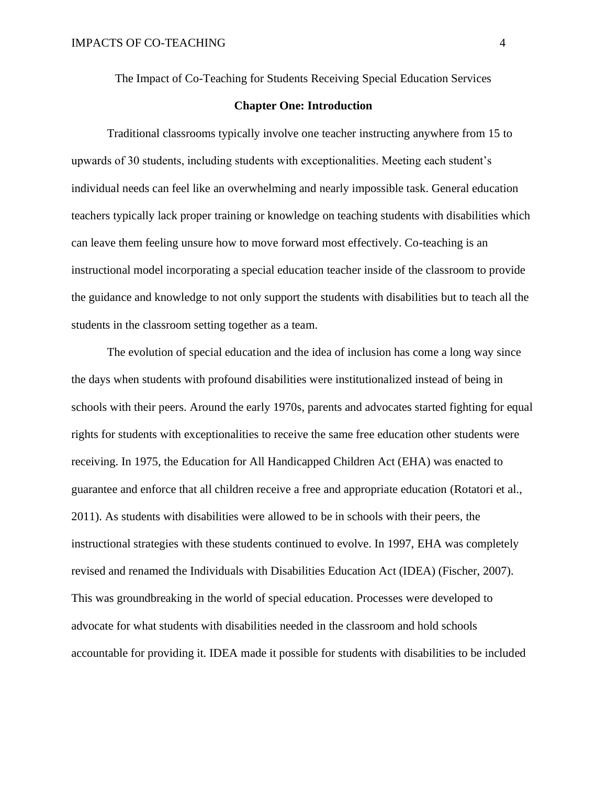The Impact of Co-Teaching for Students Receiving Special Education Services

# **Chapter One: Introduction**

Traditional classrooms typically involve one teacher instructing anywhere from 15 to upwards of 30 students, including students with exceptionalities. Meeting each student's individual needs can feel like an overwhelming and nearly impossible task. General education teachers typically lack proper training or knowledge on teaching students with disabilities which can leave them feeling unsure how to move forward most effectively. Co-teaching is an instructional model incorporating a special education teacher inside of the classroom to provide the guidance and knowledge to not only support the students with disabilities but to teach all the students in the classroom setting together as a team.

The evolution of special education and the idea of inclusion has come a long way since the days when students with profound disabilities were institutionalized instead of being in schools with their peers. Around the early 1970s, parents and advocates started fighting for equal rights for students with exceptionalities to receive the same free education other students were receiving. In 1975, the Education for All Handicapped Children Act (EHA) was enacted to guarantee and enforce that all children receive a free and appropriate education (Rotatori et al., 2011). As students with disabilities were allowed to be in schools with their peers, the instructional strategies with these students continued to evolve. In 1997, EHA was completely revised and renamed the Individuals with Disabilities Education Act (IDEA) (Fischer, 2007). This was groundbreaking in the world of special education. Processes were developed to advocate for what students with disabilities needed in the classroom and hold schools accountable for providing it. IDEA made it possible for students with disabilities to be included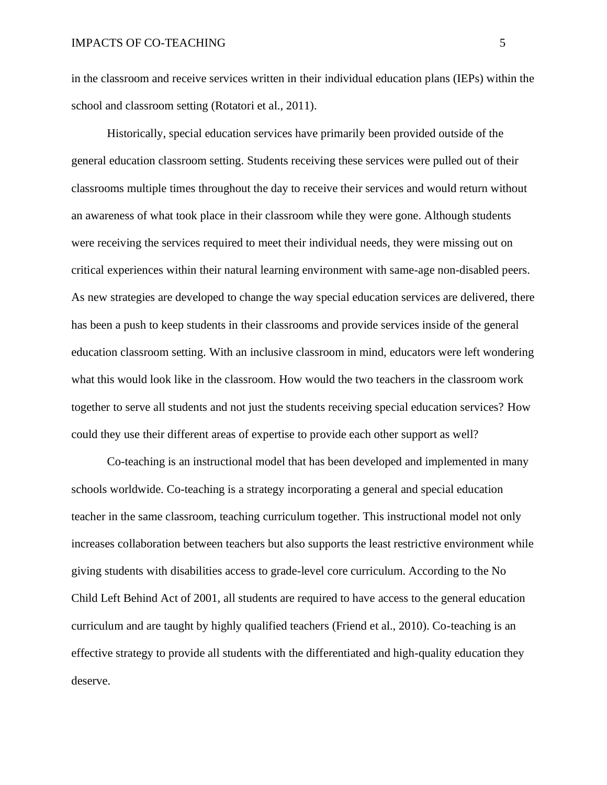in the classroom and receive services written in their individual education plans (IEPs) within the school and classroom setting (Rotatori et al., 2011).

Historically, special education services have primarily been provided outside of the general education classroom setting. Students receiving these services were pulled out of their classrooms multiple times throughout the day to receive their services and would return without an awareness of what took place in their classroom while they were gone. Although students were receiving the services required to meet their individual needs, they were missing out on critical experiences within their natural learning environment with same-age non-disabled peers. As new strategies are developed to change the way special education services are delivered, there has been a push to keep students in their classrooms and provide services inside of the general education classroom setting. With an inclusive classroom in mind, educators were left wondering what this would look like in the classroom. How would the two teachers in the classroom work together to serve all students and not just the students receiving special education services? How could they use their different areas of expertise to provide each other support as well?

Co-teaching is an instructional model that has been developed and implemented in many schools worldwide. Co-teaching is a strategy incorporating a general and special education teacher in the same classroom, teaching curriculum together. This instructional model not only increases collaboration between teachers but also supports the least restrictive environment while giving students with disabilities access to grade-level core curriculum. According to the No Child Left Behind Act of 2001, all students are required to have access to the general education curriculum and are taught by highly qualified teachers (Friend et al., 2010). Co-teaching is an effective strategy to provide all students with the differentiated and high-quality education they deserve.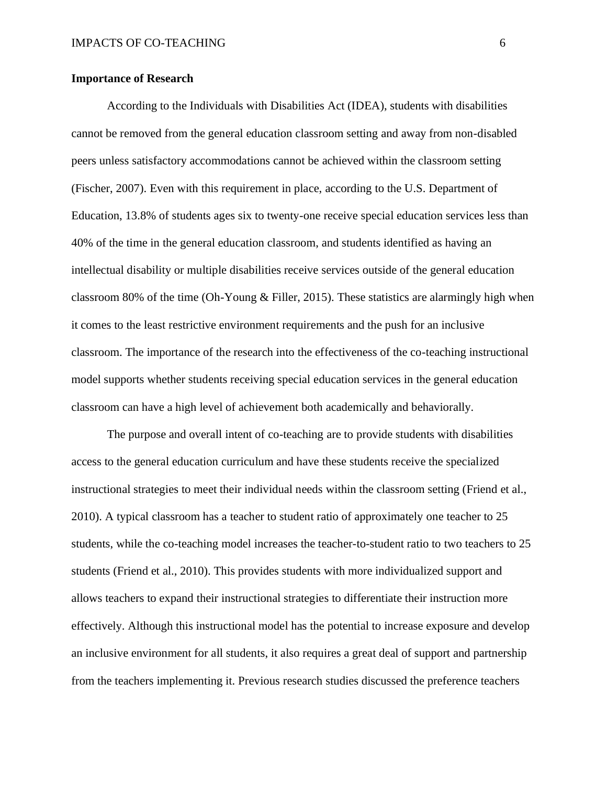# **Importance of Research**

According to the Individuals with Disabilities Act (IDEA), students with disabilities cannot be removed from the general education classroom setting and away from non-disabled peers unless satisfactory accommodations cannot be achieved within the classroom setting (Fischer, 2007). Even with this requirement in place, according to the U.S. Department of Education, 13.8% of students ages six to twenty-one receive special education services less than 40% of the time in the general education classroom, and students identified as having an intellectual disability or multiple disabilities receive services outside of the general education classroom 80% of the time (Oh-Young & Filler, 2015). These statistics are alarmingly high when it comes to the least restrictive environment requirements and the push for an inclusive classroom. The importance of the research into the effectiveness of the co-teaching instructional model supports whether students receiving special education services in the general education classroom can have a high level of achievement both academically and behaviorally.

The purpose and overall intent of co-teaching are to provide students with disabilities access to the general education curriculum and have these students receive the specialized instructional strategies to meet their individual needs within the classroom setting (Friend et al., 2010). A typical classroom has a teacher to student ratio of approximately one teacher to 25 students, while the co-teaching model increases the teacher-to-student ratio to two teachers to 25 students (Friend et al., 2010). This provides students with more individualized support and allows teachers to expand their instructional strategies to differentiate their instruction more effectively. Although this instructional model has the potential to increase exposure and develop an inclusive environment for all students, it also requires a great deal of support and partnership from the teachers implementing it. Previous research studies discussed the preference teachers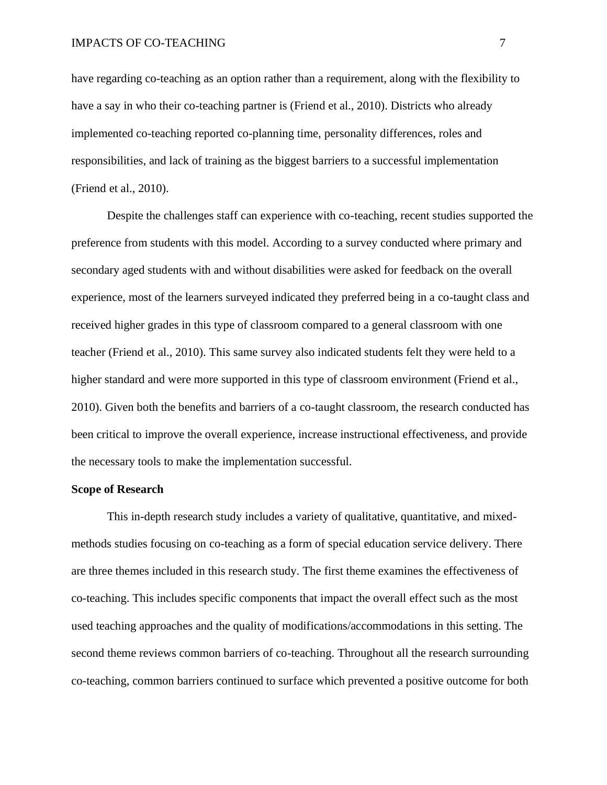have regarding co-teaching as an option rather than a requirement, along with the flexibility to have a say in who their co-teaching partner is (Friend et al., 2010). Districts who already implemented co-teaching reported co-planning time, personality differences, roles and responsibilities, and lack of training as the biggest barriers to a successful implementation (Friend et al., 2010).

Despite the challenges staff can experience with co-teaching, recent studies supported the preference from students with this model. According to a survey conducted where primary and secondary aged students with and without disabilities were asked for feedback on the overall experience, most of the learners surveyed indicated they preferred being in a co-taught class and received higher grades in this type of classroom compared to a general classroom with one teacher (Friend et al., 2010). This same survey also indicated students felt they were held to a higher standard and were more supported in this type of classroom environment (Friend et al., 2010). Given both the benefits and barriers of a co-taught classroom, the research conducted has been critical to improve the overall experience, increase instructional effectiveness, and provide the necessary tools to make the implementation successful.

#### **Scope of Research**

This in-depth research study includes a variety of qualitative, quantitative, and mixedmethods studies focusing on co-teaching as a form of special education service delivery. There are three themes included in this research study. The first theme examines the effectiveness of co-teaching. This includes specific components that impact the overall effect such as the most used teaching approaches and the quality of modifications/accommodations in this setting. The second theme reviews common barriers of co-teaching. Throughout all the research surrounding co-teaching, common barriers continued to surface which prevented a positive outcome for both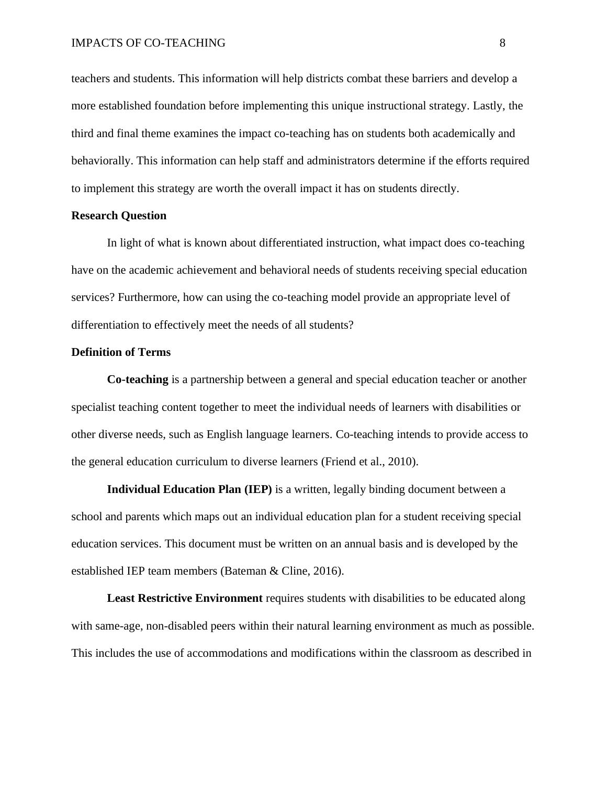teachers and students. This information will help districts combat these barriers and develop a more established foundation before implementing this unique instructional strategy. Lastly, the third and final theme examines the impact co-teaching has on students both academically and behaviorally. This information can help staff and administrators determine if the efforts required to implement this strategy are worth the overall impact it has on students directly.

# **Research Question**

In light of what is known about differentiated instruction, what impact does co-teaching have on the academic achievement and behavioral needs of students receiving special education services? Furthermore, how can using the co-teaching model provide an appropriate level of differentiation to effectively meet the needs of all students?

#### **Definition of Terms**

**Co-teaching** is a partnership between a general and special education teacher or another specialist teaching content together to meet the individual needs of learners with disabilities or other diverse needs, such as English language learners. Co-teaching intends to provide access to the general education curriculum to diverse learners (Friend et al., 2010).

**Individual Education Plan (IEP)** is a written, legally binding document between a school and parents which maps out an individual education plan for a student receiving special education services. This document must be written on an annual basis and is developed by the established IEP team members (Bateman & Cline, 2016).

**Least Restrictive Environment** requires students with disabilities to be educated along with same-age, non-disabled peers within their natural learning environment as much as possible. This includes the use of accommodations and modifications within the classroom as described in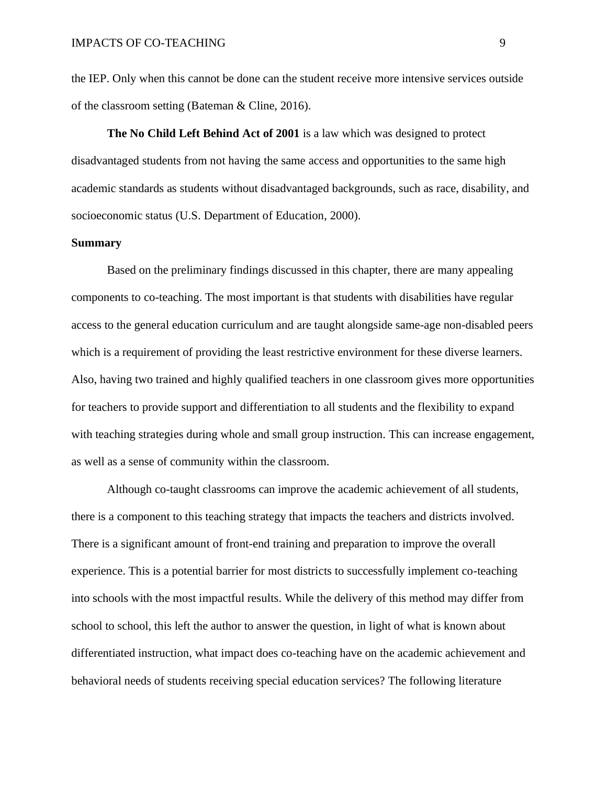the IEP. Only when this cannot be done can the student receive more intensive services outside of the classroom setting (Bateman & Cline, 2016).

**The No Child Left Behind Act of 2001** is a law which was designed to protect disadvantaged students from not having the same access and opportunities to the same high academic standards as students without disadvantaged backgrounds, such as race, disability, and socioeconomic status (U.S. Department of Education, 2000).

# **Summary**

Based on the preliminary findings discussed in this chapter, there are many appealing components to co-teaching. The most important is that students with disabilities have regular access to the general education curriculum and are taught alongside same-age non-disabled peers which is a requirement of providing the least restrictive environment for these diverse learners. Also, having two trained and highly qualified teachers in one classroom gives more opportunities for teachers to provide support and differentiation to all students and the flexibility to expand with teaching strategies during whole and small group instruction. This can increase engagement, as well as a sense of community within the classroom.

Although co-taught classrooms can improve the academic achievement of all students, there is a component to this teaching strategy that impacts the teachers and districts involved. There is a significant amount of front-end training and preparation to improve the overall experience. This is a potential barrier for most districts to successfully implement co-teaching into schools with the most impactful results. While the delivery of this method may differ from school to school, this left the author to answer the question, in light of what is known about differentiated instruction, what impact does co-teaching have on the academic achievement and behavioral needs of students receiving special education services? The following literature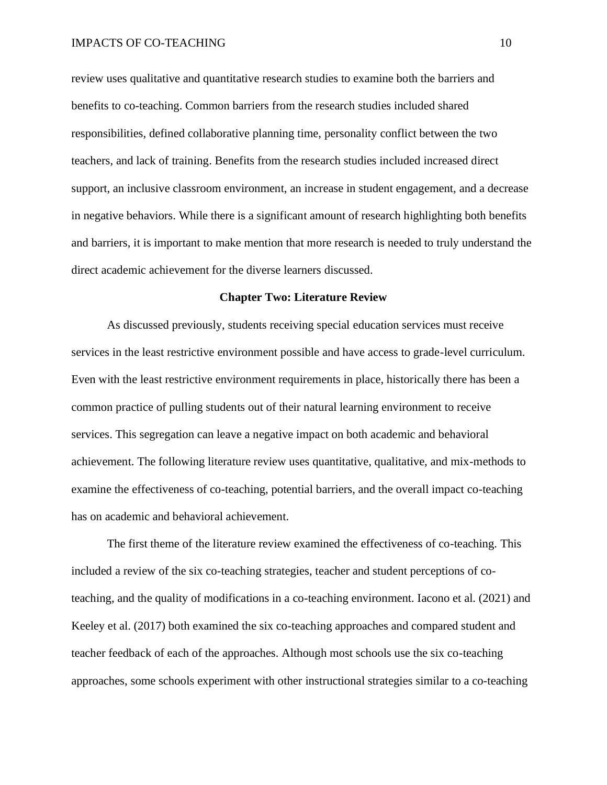review uses qualitative and quantitative research studies to examine both the barriers and benefits to co-teaching. Common barriers from the research studies included shared responsibilities, defined collaborative planning time, personality conflict between the two teachers, and lack of training. Benefits from the research studies included increased direct support, an inclusive classroom environment, an increase in student engagement, and a decrease in negative behaviors. While there is a significant amount of research highlighting both benefits and barriers, it is important to make mention that more research is needed to truly understand the direct academic achievement for the diverse learners discussed.

### **Chapter Two: Literature Review**

As discussed previously, students receiving special education services must receive services in the least restrictive environment possible and have access to grade-level curriculum. Even with the least restrictive environment requirements in place, historically there has been a common practice of pulling students out of their natural learning environment to receive services. This segregation can leave a negative impact on both academic and behavioral achievement. The following literature review uses quantitative, qualitative, and mix-methods to examine the effectiveness of co-teaching, potential barriers, and the overall impact co-teaching has on academic and behavioral achievement.

The first theme of the literature review examined the effectiveness of co-teaching. This included a review of the six co-teaching strategies, teacher and student perceptions of coteaching, and the quality of modifications in a co-teaching environment. Iacono et al. (2021) and Keeley et al. (2017) both examined the six co-teaching approaches and compared student and teacher feedback of each of the approaches. Although most schools use the six co-teaching approaches, some schools experiment with other instructional strategies similar to a co-teaching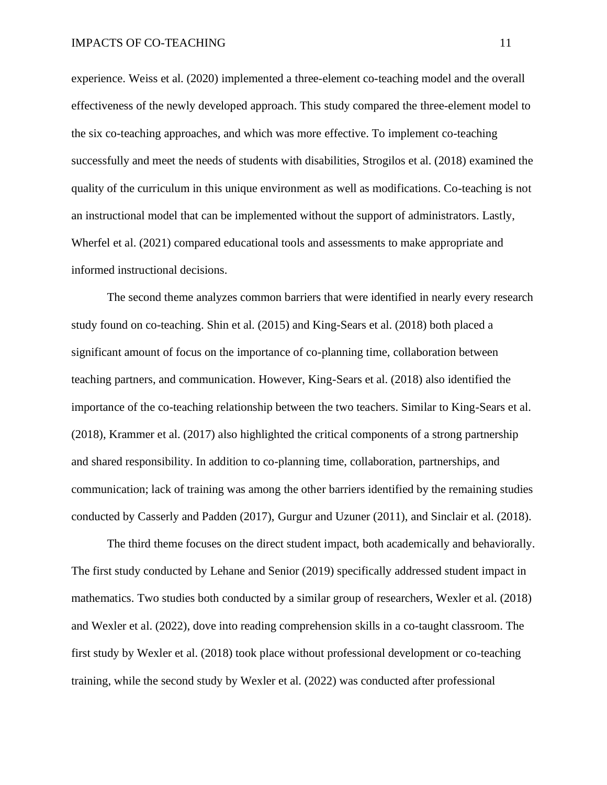experience. Weiss et al. (2020) implemented a three-element co-teaching model and the overall effectiveness of the newly developed approach. This study compared the three-element model to the six co-teaching approaches, and which was more effective. To implement co-teaching successfully and meet the needs of students with disabilities, Strogilos et al. (2018) examined the quality of the curriculum in this unique environment as well as modifications. Co-teaching is not an instructional model that can be implemented without the support of administrators. Lastly, Wherfel et al. (2021) compared educational tools and assessments to make appropriate and informed instructional decisions.

The second theme analyzes common barriers that were identified in nearly every research study found on co-teaching. Shin et al. (2015) and King-Sears et al. (2018) both placed a significant amount of focus on the importance of co-planning time, collaboration between teaching partners, and communication. However, King-Sears et al. (2018) also identified the importance of the co-teaching relationship between the two teachers. Similar to King-Sears et al. (2018), Krammer et al. (2017) also highlighted the critical components of a strong partnership and shared responsibility. In addition to co-planning time, collaboration, partnerships, and communication; lack of training was among the other barriers identified by the remaining studies conducted by Casserly and Padden (2017), Gurgur and Uzuner (2011), and Sinclair et al. (2018).

The third theme focuses on the direct student impact, both academically and behaviorally. The first study conducted by Lehane and Senior (2019) specifically addressed student impact in mathematics. Two studies both conducted by a similar group of researchers, Wexler et al. (2018) and Wexler et al. (2022), dove into reading comprehension skills in a co-taught classroom. The first study by Wexler et al. (2018) took place without professional development or co-teaching training, while the second study by Wexler et al. (2022) was conducted after professional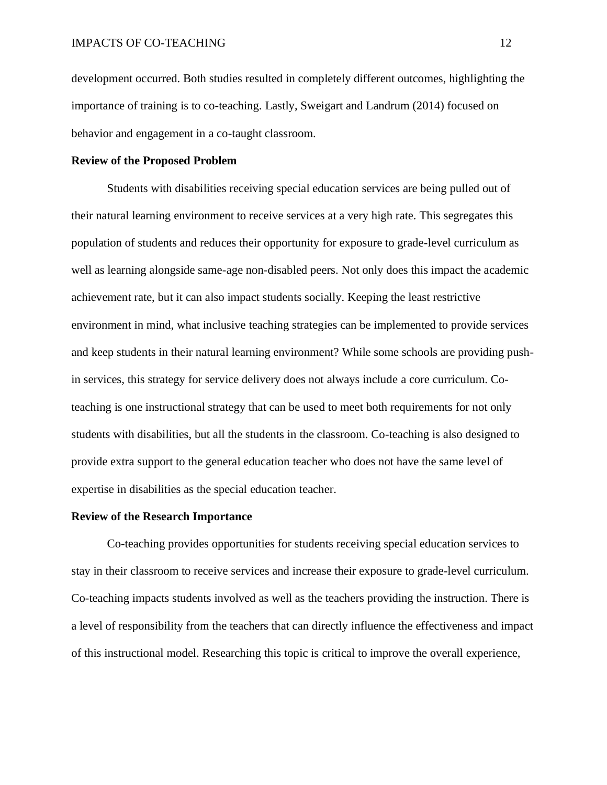development occurred. Both studies resulted in completely different outcomes, highlighting the importance of training is to co-teaching. Lastly, Sweigart and Landrum (2014) focused on behavior and engagement in a co-taught classroom.

# **Review of the Proposed Problem**

Students with disabilities receiving special education services are being pulled out of their natural learning environment to receive services at a very high rate. This segregates this population of students and reduces their opportunity for exposure to grade-level curriculum as well as learning alongside same-age non-disabled peers. Not only does this impact the academic achievement rate, but it can also impact students socially. Keeping the least restrictive environment in mind, what inclusive teaching strategies can be implemented to provide services and keep students in their natural learning environment? While some schools are providing pushin services, this strategy for service delivery does not always include a core curriculum. Coteaching is one instructional strategy that can be used to meet both requirements for not only students with disabilities, but all the students in the classroom. Co-teaching is also designed to provide extra support to the general education teacher who does not have the same level of expertise in disabilities as the special education teacher.

# **Review of the Research Importance**

Co-teaching provides opportunities for students receiving special education services to stay in their classroom to receive services and increase their exposure to grade-level curriculum. Co-teaching impacts students involved as well as the teachers providing the instruction. There is a level of responsibility from the teachers that can directly influence the effectiveness and impact of this instructional model. Researching this topic is critical to improve the overall experience,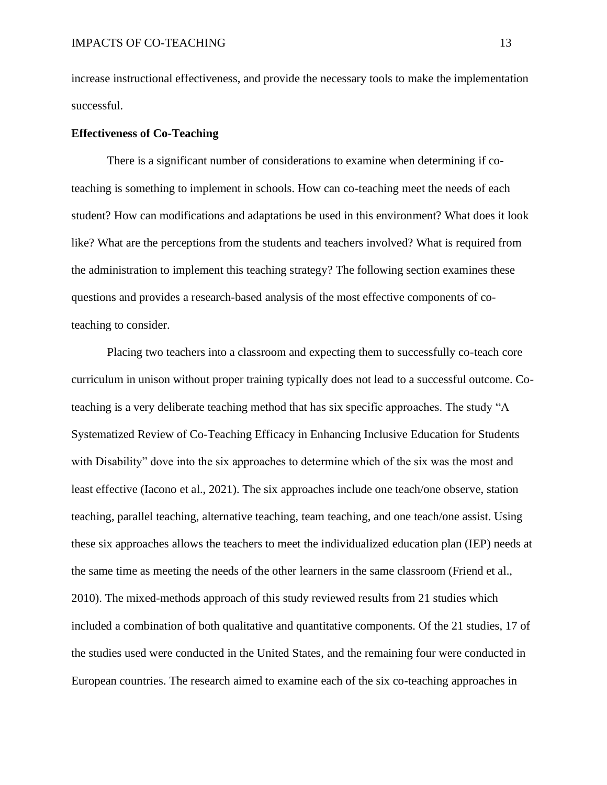increase instructional effectiveness, and provide the necessary tools to make the implementation successful.

### **Effectiveness of Co-Teaching**

There is a significant number of considerations to examine when determining if coteaching is something to implement in schools. How can co-teaching meet the needs of each student? How can modifications and adaptations be used in this environment? What does it look like? What are the perceptions from the students and teachers involved? What is required from the administration to implement this teaching strategy? The following section examines these questions and provides a research-based analysis of the most effective components of coteaching to consider.

Placing two teachers into a classroom and expecting them to successfully co-teach core curriculum in unison without proper training typically does not lead to a successful outcome. Coteaching is a very deliberate teaching method that has six specific approaches. The study "A Systematized Review of Co-Teaching Efficacy in Enhancing Inclusive Education for Students with Disability" dove into the six approaches to determine which of the six was the most and least effective (Iacono et al., 2021). The six approaches include one teach/one observe, station teaching, parallel teaching, alternative teaching, team teaching, and one teach/one assist. Using these six approaches allows the teachers to meet the individualized education plan (IEP) needs at the same time as meeting the needs of the other learners in the same classroom (Friend et al., 2010). The mixed-methods approach of this study reviewed results from 21 studies which included a combination of both qualitative and quantitative components. Of the 21 studies, 17 of the studies used were conducted in the United States, and the remaining four were conducted in European countries. The research aimed to examine each of the six co-teaching approaches in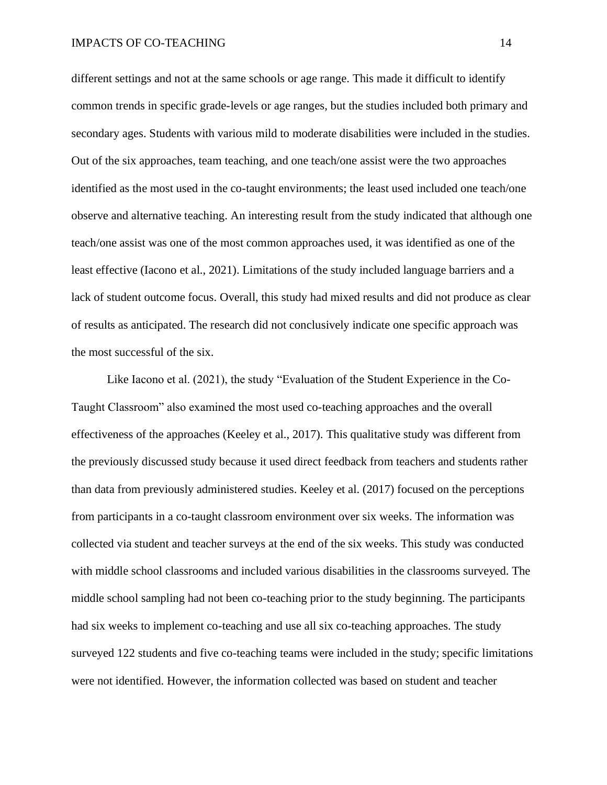different settings and not at the same schools or age range. This made it difficult to identify common trends in specific grade-levels or age ranges, but the studies included both primary and secondary ages. Students with various mild to moderate disabilities were included in the studies. Out of the six approaches, team teaching, and one teach/one assist were the two approaches identified as the most used in the co-taught environments; the least used included one teach/one observe and alternative teaching. An interesting result from the study indicated that although one teach/one assist was one of the most common approaches used, it was identified as one of the least effective (Iacono et al., 2021). Limitations of the study included language barriers and a lack of student outcome focus. Overall, this study had mixed results and did not produce as clear of results as anticipated. The research did not conclusively indicate one specific approach was the most successful of the six.

Like Iacono et al. (2021), the study "Evaluation of the Student Experience in the Co-Taught Classroom" also examined the most used co-teaching approaches and the overall effectiveness of the approaches (Keeley et al., 2017). This qualitative study was different from the previously discussed study because it used direct feedback from teachers and students rather than data from previously administered studies. Keeley et al. (2017) focused on the perceptions from participants in a co-taught classroom environment over six weeks. The information was collected via student and teacher surveys at the end of the six weeks. This study was conducted with middle school classrooms and included various disabilities in the classrooms surveyed. The middle school sampling had not been co-teaching prior to the study beginning. The participants had six weeks to implement co-teaching and use all six co-teaching approaches. The study surveyed 122 students and five co-teaching teams were included in the study; specific limitations were not identified. However, the information collected was based on student and teacher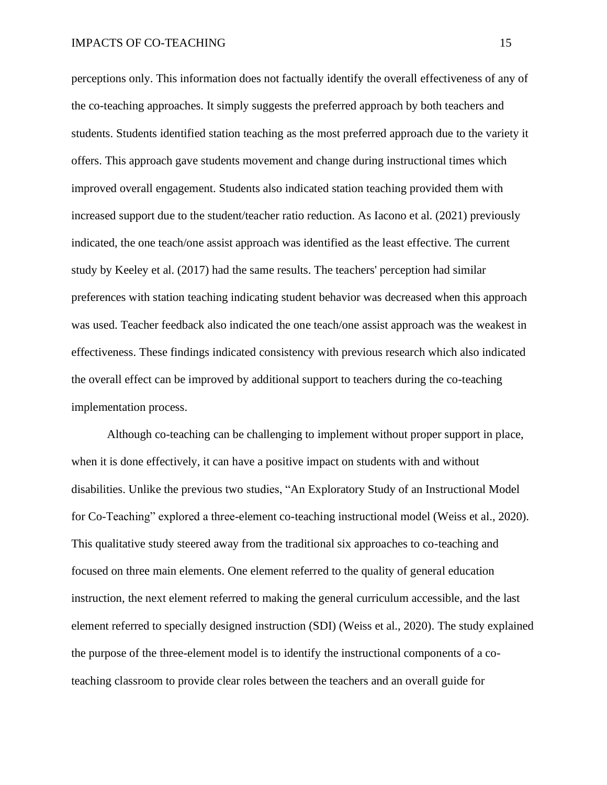perceptions only. This information does not factually identify the overall effectiveness of any of the co-teaching approaches. It simply suggests the preferred approach by both teachers and students. Students identified station teaching as the most preferred approach due to the variety it offers. This approach gave students movement and change during instructional times which improved overall engagement. Students also indicated station teaching provided them with increased support due to the student/teacher ratio reduction. As Iacono et al. (2021) previously indicated, the one teach/one assist approach was identified as the least effective. The current study by Keeley et al. (2017) had the same results. The teachers' perception had similar preferences with station teaching indicating student behavior was decreased when this approach was used. Teacher feedback also indicated the one teach/one assist approach was the weakest in effectiveness. These findings indicated consistency with previous research which also indicated the overall effect can be improved by additional support to teachers during the co-teaching implementation process.

Although co-teaching can be challenging to implement without proper support in place, when it is done effectively, it can have a positive impact on students with and without disabilities. Unlike the previous two studies, "An Exploratory Study of an Instructional Model for Co-Teaching" explored a three-element co-teaching instructional model (Weiss et al., 2020). This qualitative study steered away from the traditional six approaches to co-teaching and focused on three main elements. One element referred to the quality of general education instruction, the next element referred to making the general curriculum accessible, and the last element referred to specially designed instruction (SDI) (Weiss et al., 2020). The study explained the purpose of the three-element model is to identify the instructional components of a coteaching classroom to provide clear roles between the teachers and an overall guide for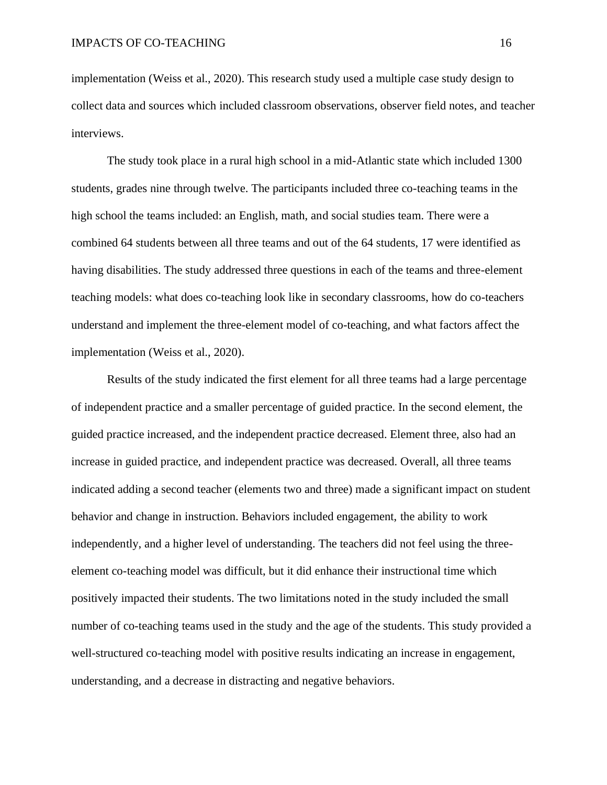implementation (Weiss et al., 2020). This research study used a multiple case study design to collect data and sources which included classroom observations, observer field notes, and teacher interviews.

The study took place in a rural high school in a mid-Atlantic state which included 1300 students, grades nine through twelve. The participants included three co-teaching teams in the high school the teams included: an English, math, and social studies team. There were a combined 64 students between all three teams and out of the 64 students, 17 were identified as having disabilities. The study addressed three questions in each of the teams and three-element teaching models: what does co-teaching look like in secondary classrooms, how do co-teachers understand and implement the three-element model of co-teaching, and what factors affect the implementation (Weiss et al., 2020).

Results of the study indicated the first element for all three teams had a large percentage of independent practice and a smaller percentage of guided practice. In the second element, the guided practice increased, and the independent practice decreased. Element three, also had an increase in guided practice, and independent practice was decreased. Overall, all three teams indicated adding a second teacher (elements two and three) made a significant impact on student behavior and change in instruction. Behaviors included engagement, the ability to work independently, and a higher level of understanding. The teachers did not feel using the threeelement co-teaching model was difficult, but it did enhance their instructional time which positively impacted their students. The two limitations noted in the study included the small number of co-teaching teams used in the study and the age of the students. This study provided a well-structured co-teaching model with positive results indicating an increase in engagement, understanding, and a decrease in distracting and negative behaviors.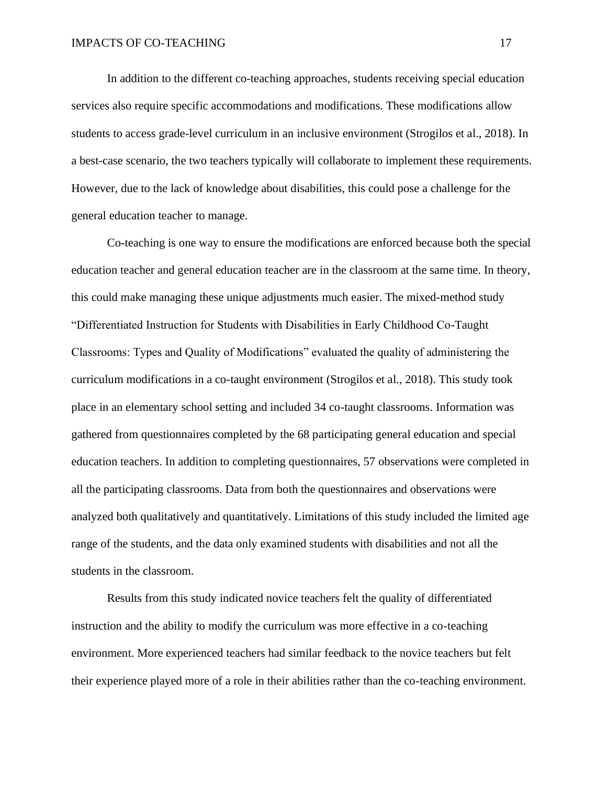In addition to the different co-teaching approaches, students receiving special education services also require specific accommodations and modifications. These modifications allow students to access grade-level curriculum in an inclusive environment (Strogilos et al., 2018). In a best-case scenario, the two teachers typically will collaborate to implement these requirements. However, due to the lack of knowledge about disabilities, this could pose a challenge for the general education teacher to manage.

Co-teaching is one way to ensure the modifications are enforced because both the special education teacher and general education teacher are in the classroom at the same time. In theory, this could make managing these unique adjustments much easier. The mixed-method study "Differentiated Instruction for Students with Disabilities in Early Childhood Co-Taught Classrooms: Types and Quality of Modifications" evaluated the quality of administering the curriculum modifications in a co-taught environment (Strogilos et al., 2018). This study took place in an elementary school setting and included 34 co-taught classrooms. Information was gathered from questionnaires completed by the 68 participating general education and special education teachers. In addition to completing questionnaires, 57 observations were completed in all the participating classrooms. Data from both the questionnaires and observations were analyzed both qualitatively and quantitatively. Limitations of this study included the limited age range of the students, and the data only examined students with disabilities and not all the students in the classroom.

Results from this study indicated novice teachers felt the quality of differentiated instruction and the ability to modify the curriculum was more effective in a co-teaching environment. More experienced teachers had similar feedback to the novice teachers but felt their experience played more of a role in their abilities rather than the co-teaching environment.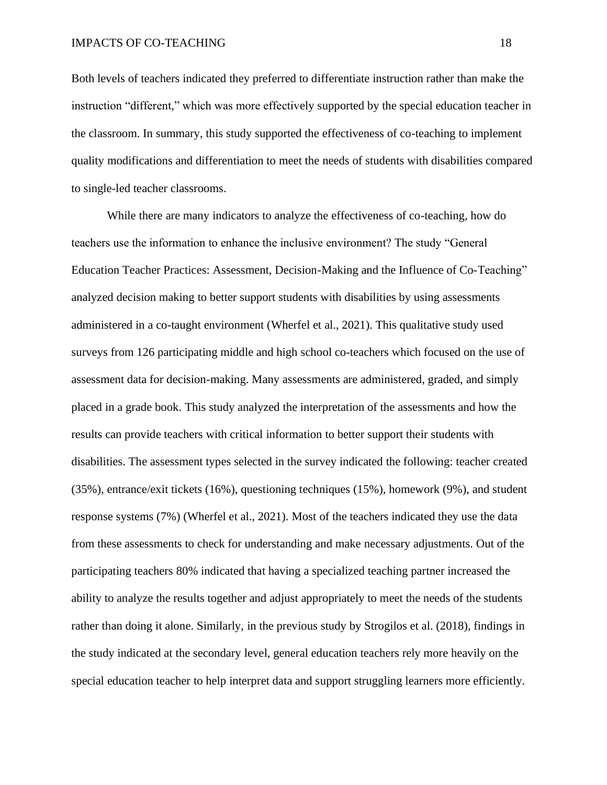Both levels of teachers indicated they preferred to differentiate instruction rather than make the instruction "different," which was more effectively supported by the special education teacher in the classroom. In summary, this study supported the effectiveness of co-teaching to implement quality modifications and differentiation to meet the needs of students with disabilities compared to single-led teacher classrooms.

While there are many indicators to analyze the effectiveness of co-teaching, how do teachers use the information to enhance the inclusive environment? The study "General Education Teacher Practices: Assessment, Decision-Making and the Influence of Co-Teaching" analyzed decision making to better support students with disabilities by using assessments administered in a co-taught environment (Wherfel et al., 2021). This qualitative study used surveys from 126 participating middle and high school co-teachers which focused on the use of assessment data for decision-making. Many assessments are administered, graded, and simply placed in a grade book. This study analyzed the interpretation of the assessments and how the results can provide teachers with critical information to better support their students with disabilities. The assessment types selected in the survey indicated the following: teacher created (35%), entrance/exit tickets (16%), questioning techniques (15%), homework (9%), and student response systems (7%) (Wherfel et al., 2021). Most of the teachers indicated they use the data from these assessments to check for understanding and make necessary adjustments. Out of the participating teachers 80% indicated that having a specialized teaching partner increased the ability to analyze the results together and adjust appropriately to meet the needs of the students rather than doing it alone. Similarly, in the previous study by Strogilos et al. (2018), findings in the study indicated at the secondary level, general education teachers rely more heavily on the special education teacher to help interpret data and support struggling learners more efficiently.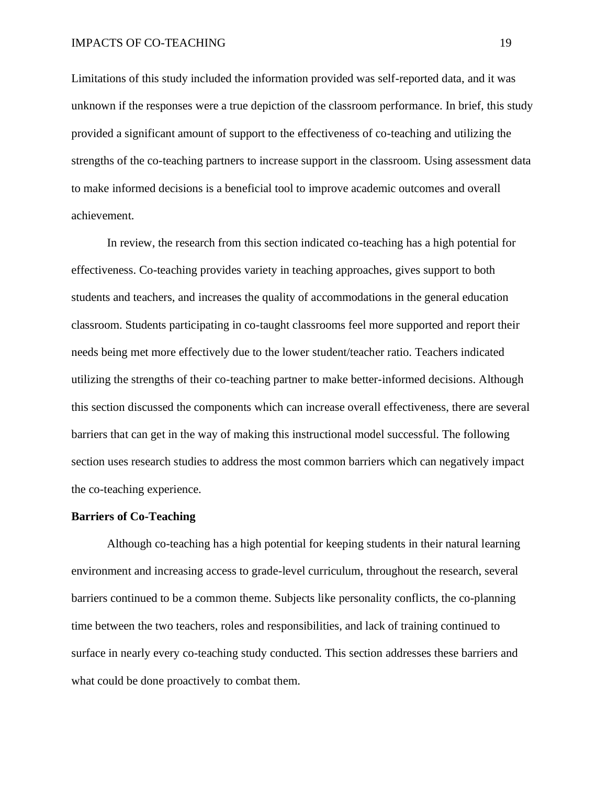Limitations of this study included the information provided was self-reported data, and it was unknown if the responses were a true depiction of the classroom performance. In brief, this study provided a significant amount of support to the effectiveness of co-teaching and utilizing the strengths of the co-teaching partners to increase support in the classroom. Using assessment data to make informed decisions is a beneficial tool to improve academic outcomes and overall achievement.

In review, the research from this section indicated co-teaching has a high potential for effectiveness. Co-teaching provides variety in teaching approaches, gives support to both students and teachers, and increases the quality of accommodations in the general education classroom. Students participating in co-taught classrooms feel more supported and report their needs being met more effectively due to the lower student/teacher ratio. Teachers indicated utilizing the strengths of their co-teaching partner to make better-informed decisions. Although this section discussed the components which can increase overall effectiveness, there are several barriers that can get in the way of making this instructional model successful. The following section uses research studies to address the most common barriers which can negatively impact the co-teaching experience.

#### **Barriers of Co-Teaching**

Although co-teaching has a high potential for keeping students in their natural learning environment and increasing access to grade-level curriculum, throughout the research, several barriers continued to be a common theme. Subjects like personality conflicts, the co-planning time between the two teachers, roles and responsibilities, and lack of training continued to surface in nearly every co-teaching study conducted. This section addresses these barriers and what could be done proactively to combat them.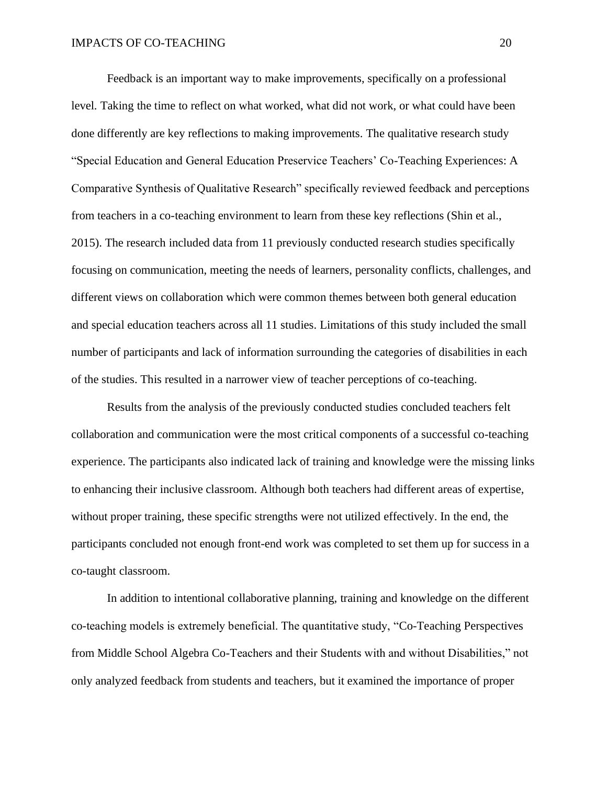Feedback is an important way to make improvements, specifically on a professional level. Taking the time to reflect on what worked, what did not work, or what could have been done differently are key reflections to making improvements. The qualitative research study "Special Education and General Education Preservice Teachers' Co-Teaching Experiences: A Comparative Synthesis of Qualitative Research" specifically reviewed feedback and perceptions from teachers in a co-teaching environment to learn from these key reflections (Shin et al., 2015). The research included data from 11 previously conducted research studies specifically focusing on communication, meeting the needs of learners, personality conflicts, challenges, and different views on collaboration which were common themes between both general education and special education teachers across all 11 studies. Limitations of this study included the small number of participants and lack of information surrounding the categories of disabilities in each of the studies. This resulted in a narrower view of teacher perceptions of co-teaching.

Results from the analysis of the previously conducted studies concluded teachers felt collaboration and communication were the most critical components of a successful co-teaching experience. The participants also indicated lack of training and knowledge were the missing links to enhancing their inclusive classroom. Although both teachers had different areas of expertise, without proper training, these specific strengths were not utilized effectively. In the end, the participants concluded not enough front-end work was completed to set them up for success in a co-taught classroom.

In addition to intentional collaborative planning, training and knowledge on the different co-teaching models is extremely beneficial. The quantitative study, "Co-Teaching Perspectives from Middle School Algebra Co-Teachers and their Students with and without Disabilities," not only analyzed feedback from students and teachers, but it examined the importance of proper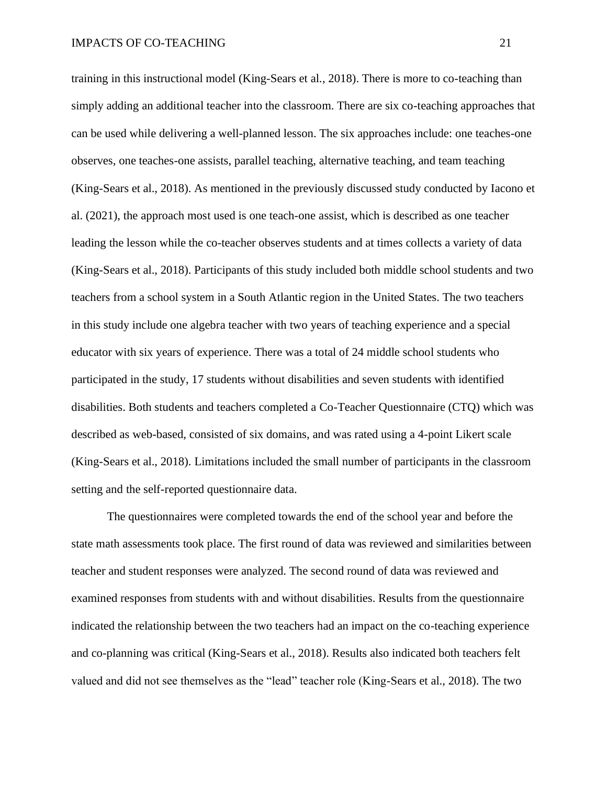training in this instructional model (King-Sears et al., 2018). There is more to co-teaching than simply adding an additional teacher into the classroom. There are six co-teaching approaches that can be used while delivering a well-planned lesson. The six approaches include: one teaches-one observes, one teaches-one assists, parallel teaching, alternative teaching, and team teaching (King-Sears et al., 2018). As mentioned in the previously discussed study conducted by Iacono et al. (2021), the approach most used is one teach-one assist, which is described as one teacher leading the lesson while the co-teacher observes students and at times collects a variety of data (King-Sears et al., 2018). Participants of this study included both middle school students and two teachers from a school system in a South Atlantic region in the United States. The two teachers in this study include one algebra teacher with two years of teaching experience and a special educator with six years of experience. There was a total of 24 middle school students who participated in the study, 17 students without disabilities and seven students with identified disabilities. Both students and teachers completed a Co-Teacher Questionnaire (CTQ) which was described as web-based, consisted of six domains, and was rated using a 4-point Likert scale (King-Sears et al., 2018). Limitations included the small number of participants in the classroom setting and the self-reported questionnaire data.

The questionnaires were completed towards the end of the school year and before the state math assessments took place. The first round of data was reviewed and similarities between teacher and student responses were analyzed. The second round of data was reviewed and examined responses from students with and without disabilities. Results from the questionnaire indicated the relationship between the two teachers had an impact on the co-teaching experience and co-planning was critical (King-Sears et al., 2018). Results also indicated both teachers felt valued and did not see themselves as the "lead" teacher role (King-Sears et al., 2018). The two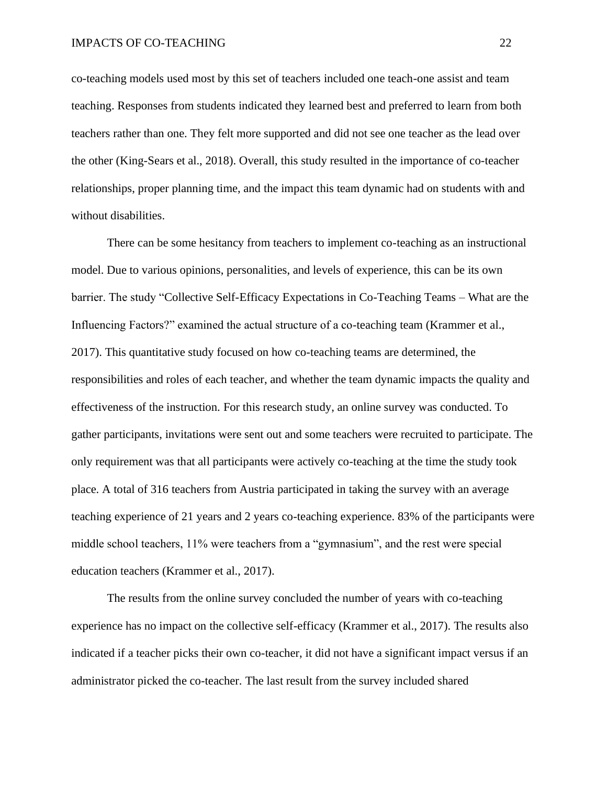co-teaching models used most by this set of teachers included one teach-one assist and team teaching. Responses from students indicated they learned best and preferred to learn from both teachers rather than one. They felt more supported and did not see one teacher as the lead over the other (King-Sears et al., 2018). Overall, this study resulted in the importance of co-teacher relationships, proper planning time, and the impact this team dynamic had on students with and without disabilities.

There can be some hesitancy from teachers to implement co-teaching as an instructional model. Due to various opinions, personalities, and levels of experience, this can be its own barrier. The study "Collective Self-Efficacy Expectations in Co-Teaching Teams – What are the Influencing Factors?" examined the actual structure of a co-teaching team (Krammer et al., 2017). This quantitative study focused on how co-teaching teams are determined, the responsibilities and roles of each teacher, and whether the team dynamic impacts the quality and effectiveness of the instruction. For this research study, an online survey was conducted. To gather participants, invitations were sent out and some teachers were recruited to participate. The only requirement was that all participants were actively co-teaching at the time the study took place. A total of 316 teachers from Austria participated in taking the survey with an average teaching experience of 21 years and 2 years co-teaching experience. 83% of the participants were middle school teachers, 11% were teachers from a "gymnasium", and the rest were special education teachers (Krammer et al., 2017).

The results from the online survey concluded the number of years with co-teaching experience has no impact on the collective self-efficacy (Krammer et al., 2017). The results also indicated if a teacher picks their own co-teacher, it did not have a significant impact versus if an administrator picked the co-teacher. The last result from the survey included shared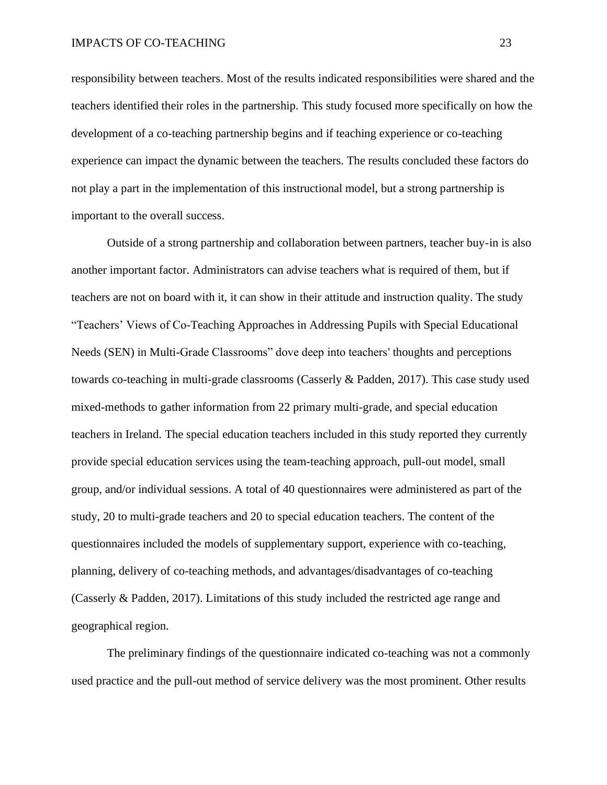responsibility between teachers. Most of the results indicated responsibilities were shared and the teachers identified their roles in the partnership. This study focused more specifically on how the development of a co-teaching partnership begins and if teaching experience or co-teaching experience can impact the dynamic between the teachers. The results concluded these factors do not play a part in the implementation of this instructional model, but a strong partnership is important to the overall success.

Outside of a strong partnership and collaboration between partners, teacher buy-in is also another important factor. Administrators can advise teachers what is required of them, but if teachers are not on board with it, it can show in their attitude and instruction quality. The study "Teachers' Views of Co-Teaching Approaches in Addressing Pupils with Special Educational Needs (SEN) in Multi-Grade Classrooms" dove deep into teachers' thoughts and perceptions towards co-teaching in multi-grade classrooms (Casserly & Padden, 2017). This case study used mixed-methods to gather information from 22 primary multi-grade, and special education teachers in Ireland. The special education teachers included in this study reported they currently provide special education services using the team-teaching approach, pull-out model, small group, and/or individual sessions. A total of 40 questionnaires were administered as part of the study, 20 to multi-grade teachers and 20 to special education teachers. The content of the questionnaires included the models of supplementary support, experience with co-teaching, planning, delivery of co-teaching methods, and advantages/disadvantages of co-teaching (Casserly & Padden, 2017). Limitations of this study included the restricted age range and geographical region.

The preliminary findings of the questionnaire indicated co-teaching was not a commonly used practice and the pull-out method of service delivery was the most prominent. Other results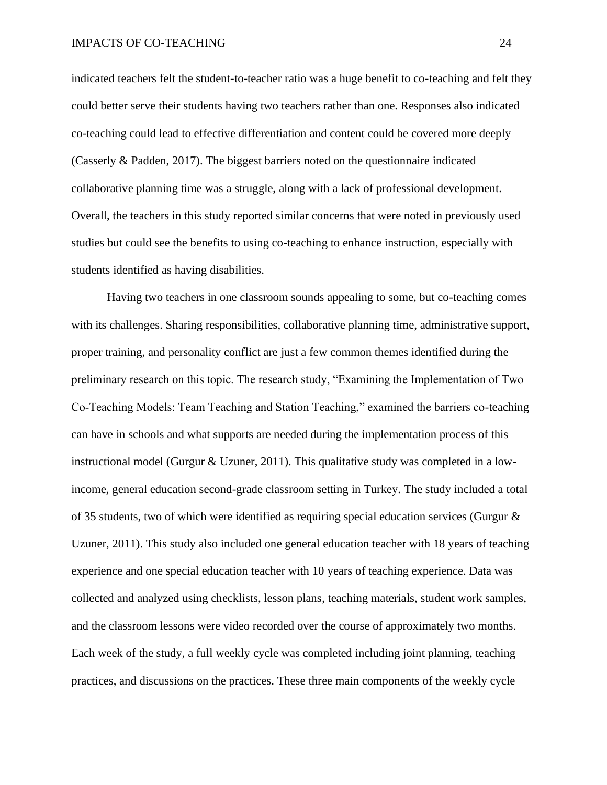indicated teachers felt the student-to-teacher ratio was a huge benefit to co-teaching and felt they could better serve their students having two teachers rather than one. Responses also indicated co-teaching could lead to effective differentiation and content could be covered more deeply (Casserly & Padden, 2017). The biggest barriers noted on the questionnaire indicated collaborative planning time was a struggle, along with a lack of professional development. Overall, the teachers in this study reported similar concerns that were noted in previously used studies but could see the benefits to using co-teaching to enhance instruction, especially with students identified as having disabilities.

Having two teachers in one classroom sounds appealing to some, but co-teaching comes with its challenges. Sharing responsibilities, collaborative planning time, administrative support, proper training, and personality conflict are just a few common themes identified during the preliminary research on this topic. The research study, "Examining the Implementation of Two Co‐Teaching Models: Team Teaching and Station Teaching," examined the barriers co-teaching can have in schools and what supports are needed during the implementation process of this instructional model (Gurgur & Uzuner, 2011). This qualitative study was completed in a lowincome, general education second-grade classroom setting in Turkey. The study included a total of 35 students, two of which were identified as requiring special education services (Gurgur & Uzuner, 2011). This study also included one general education teacher with 18 years of teaching experience and one special education teacher with 10 years of teaching experience. Data was collected and analyzed using checklists, lesson plans, teaching materials, student work samples, and the classroom lessons were video recorded over the course of approximately two months. Each week of the study, a full weekly cycle was completed including joint planning, teaching practices, and discussions on the practices. These three main components of the weekly cycle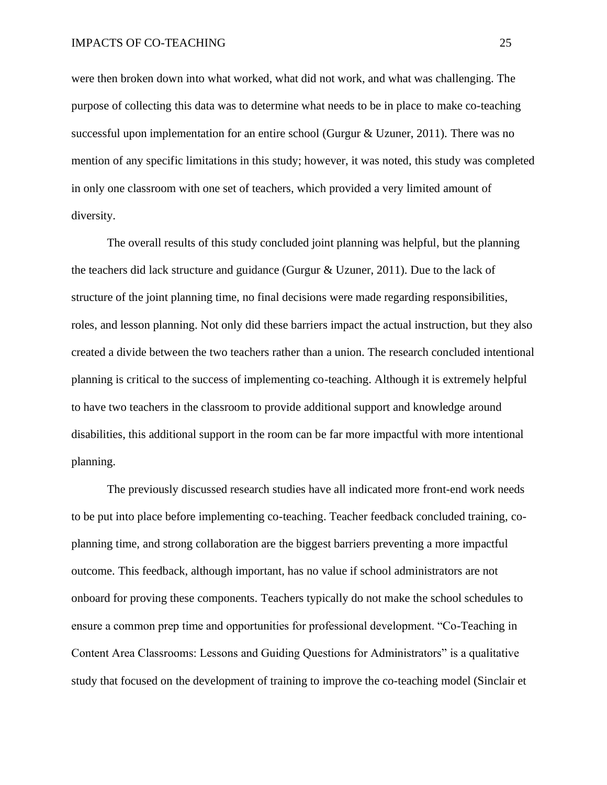were then broken down into what worked, what did not work, and what was challenging. The purpose of collecting this data was to determine what needs to be in place to make co-teaching successful upon implementation for an entire school (Gurgur & Uzuner, 2011). There was no mention of any specific limitations in this study; however, it was noted, this study was completed in only one classroom with one set of teachers, which provided a very limited amount of diversity.

The overall results of this study concluded joint planning was helpful, but the planning the teachers did lack structure and guidance (Gurgur & Uzuner, 2011). Due to the lack of structure of the joint planning time, no final decisions were made regarding responsibilities, roles, and lesson planning. Not only did these barriers impact the actual instruction, but they also created a divide between the two teachers rather than a union. The research concluded intentional planning is critical to the success of implementing co-teaching. Although it is extremely helpful to have two teachers in the classroom to provide additional support and knowledge around disabilities, this additional support in the room can be far more impactful with more intentional planning.

The previously discussed research studies have all indicated more front-end work needs to be put into place before implementing co-teaching. Teacher feedback concluded training, coplanning time, and strong collaboration are the biggest barriers preventing a more impactful outcome. This feedback, although important, has no value if school administrators are not onboard for proving these components. Teachers typically do not make the school schedules to ensure a common prep time and opportunities for professional development. "Co-Teaching in Content Area Classrooms: Lessons and Guiding Questions for Administrators" is a qualitative study that focused on the development of training to improve the co-teaching model (Sinclair et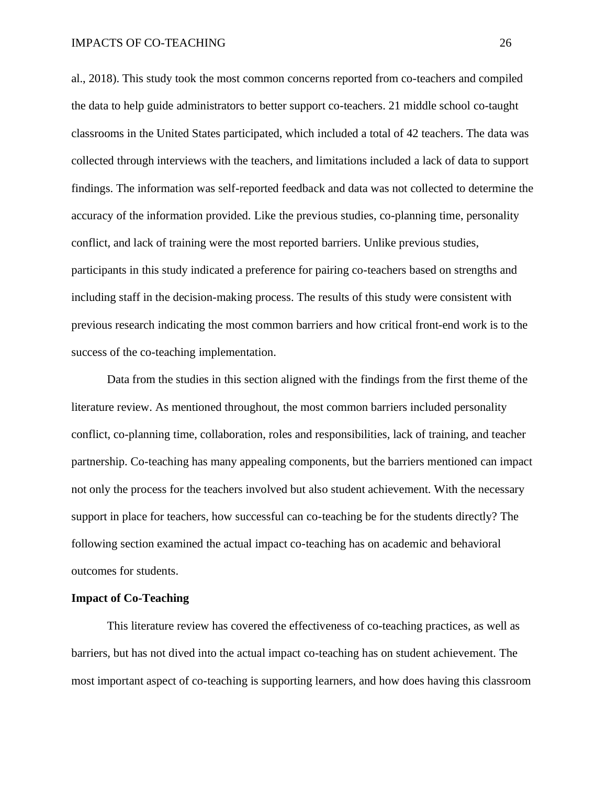al., 2018). This study took the most common concerns reported from co-teachers and compiled the data to help guide administrators to better support co-teachers. 21 middle school co-taught classrooms in the United States participated, which included a total of 42 teachers. The data was collected through interviews with the teachers, and limitations included a lack of data to support findings. The information was self-reported feedback and data was not collected to determine the accuracy of the information provided. Like the previous studies, co-planning time, personality conflict, and lack of training were the most reported barriers. Unlike previous studies, participants in this study indicated a preference for pairing co-teachers based on strengths and including staff in the decision-making process. The results of this study were consistent with previous research indicating the most common barriers and how critical front-end work is to the success of the co-teaching implementation.

Data from the studies in this section aligned with the findings from the first theme of the literature review. As mentioned throughout, the most common barriers included personality conflict, co-planning time, collaboration, roles and responsibilities, lack of training, and teacher partnership. Co-teaching has many appealing components, but the barriers mentioned can impact not only the process for the teachers involved but also student achievement. With the necessary support in place for teachers, how successful can co-teaching be for the students directly? The following section examined the actual impact co-teaching has on academic and behavioral outcomes for students.

#### **Impact of Co-Teaching**

This literature review has covered the effectiveness of co-teaching practices, as well as barriers, but has not dived into the actual impact co-teaching has on student achievement. The most important aspect of co-teaching is supporting learners, and how does having this classroom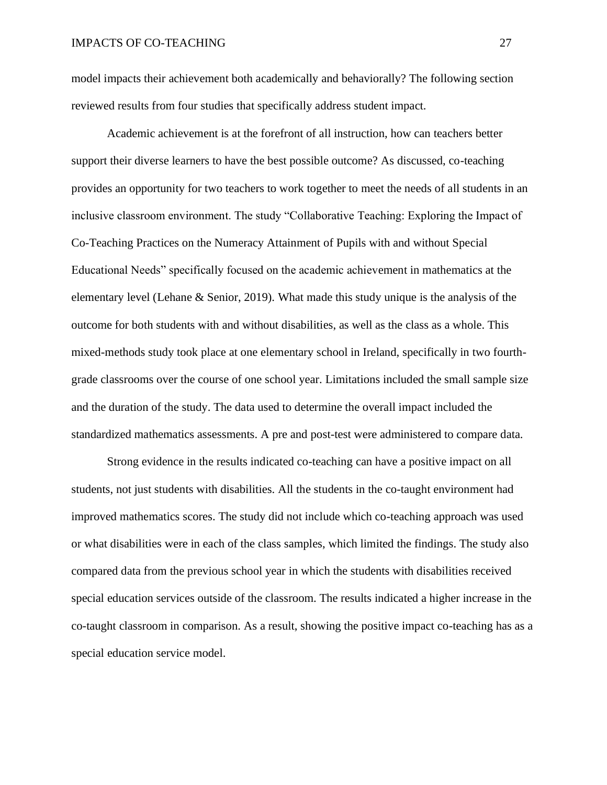model impacts their achievement both academically and behaviorally? The following section reviewed results from four studies that specifically address student impact.

Academic achievement is at the forefront of all instruction, how can teachers better support their diverse learners to have the best possible outcome? As discussed, co-teaching provides an opportunity for two teachers to work together to meet the needs of all students in an inclusive classroom environment. The study "Collaborative Teaching: Exploring the Impact of Co-Teaching Practices on the Numeracy Attainment of Pupils with and without Special Educational Needs" specifically focused on the academic achievement in mathematics at the elementary level (Lehane & Senior, 2019). What made this study unique is the analysis of the outcome for both students with and without disabilities, as well as the class as a whole. This mixed-methods study took place at one elementary school in Ireland, specifically in two fourthgrade classrooms over the course of one school year. Limitations included the small sample size and the duration of the study. The data used to determine the overall impact included the standardized mathematics assessments. A pre and post-test were administered to compare data.

Strong evidence in the results indicated co-teaching can have a positive impact on all students, not just students with disabilities. All the students in the co-taught environment had improved mathematics scores. The study did not include which co-teaching approach was used or what disabilities were in each of the class samples, which limited the findings. The study also compared data from the previous school year in which the students with disabilities received special education services outside of the classroom. The results indicated a higher increase in the co-taught classroom in comparison. As a result, showing the positive impact co-teaching has as a special education service model.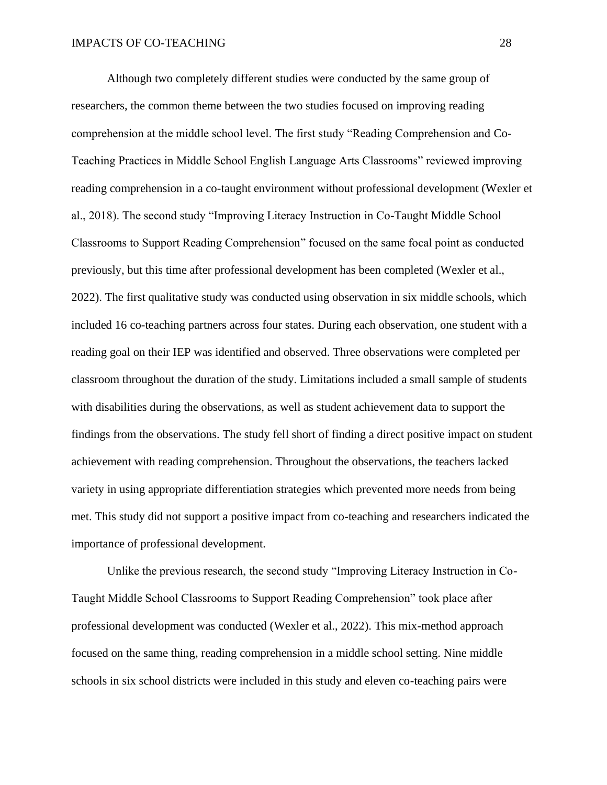Although two completely different studies were conducted by the same group of researchers, the common theme between the two studies focused on improving reading comprehension at the middle school level. The first study "Reading Comprehension and Co-Teaching Practices in Middle School English Language Arts Classrooms" reviewed improving reading comprehension in a co-taught environment without professional development (Wexler et al., 2018). The second study "Improving Literacy Instruction in Co-Taught Middle School Classrooms to Support Reading Comprehension" focused on the same focal point as conducted previously, but this time after professional development has been completed (Wexler et al., 2022). The first qualitative study was conducted using observation in six middle schools, which included 16 co-teaching partners across four states. During each observation, one student with a reading goal on their IEP was identified and observed. Three observations were completed per classroom throughout the duration of the study. Limitations included a small sample of students with disabilities during the observations, as well as student achievement data to support the findings from the observations. The study fell short of finding a direct positive impact on student achievement with reading comprehension. Throughout the observations, the teachers lacked variety in using appropriate differentiation strategies which prevented more needs from being met. This study did not support a positive impact from co-teaching and researchers indicated the importance of professional development.

Unlike the previous research, the second study "Improving Literacy Instruction in Co-Taught Middle School Classrooms to Support Reading Comprehension" took place after professional development was conducted (Wexler et al., 2022). This mix-method approach focused on the same thing, reading comprehension in a middle school setting. Nine middle schools in six school districts were included in this study and eleven co-teaching pairs were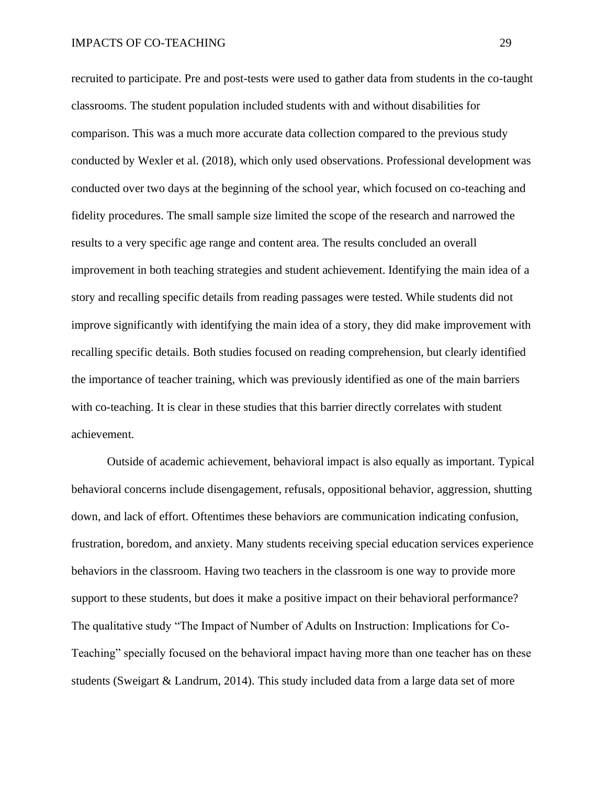recruited to participate. Pre and post-tests were used to gather data from students in the co-taught classrooms. The student population included students with and without disabilities for comparison. This was a much more accurate data collection compared to the previous study conducted by Wexler et al. (2018), which only used observations. Professional development was conducted over two days at the beginning of the school year, which focused on co-teaching and fidelity procedures. The small sample size limited the scope of the research and narrowed the results to a very specific age range and content area. The results concluded an overall improvement in both teaching strategies and student achievement. Identifying the main idea of a story and recalling specific details from reading passages were tested. While students did not improve significantly with identifying the main idea of a story, they did make improvement with recalling specific details. Both studies focused on reading comprehension, but clearly identified the importance of teacher training, which was previously identified as one of the main barriers with co-teaching. It is clear in these studies that this barrier directly correlates with student achievement.

Outside of academic achievement, behavioral impact is also equally as important. Typical behavioral concerns include disengagement, refusals, oppositional behavior, aggression, shutting down, and lack of effort. Oftentimes these behaviors are communication indicating confusion, frustration, boredom, and anxiety. Many students receiving special education services experience behaviors in the classroom. Having two teachers in the classroom is one way to provide more support to these students, but does it make a positive impact on their behavioral performance? The qualitative study "The Impact of Number of Adults on Instruction: Implications for Co-Teaching" specially focused on the behavioral impact having more than one teacher has on these students (Sweigart & Landrum, 2014). This study included data from a large data set of more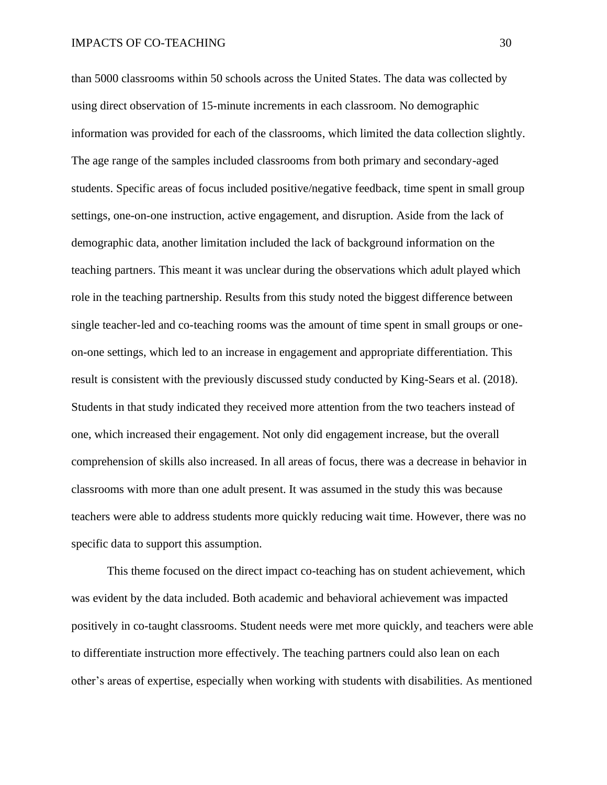than 5000 classrooms within 50 schools across the United States. The data was collected by using direct observation of 15-minute increments in each classroom. No demographic information was provided for each of the classrooms, which limited the data collection slightly. The age range of the samples included classrooms from both primary and secondary-aged students. Specific areas of focus included positive/negative feedback, time spent in small group settings, one-on-one instruction, active engagement, and disruption. Aside from the lack of demographic data, another limitation included the lack of background information on the teaching partners. This meant it was unclear during the observations which adult played which role in the teaching partnership. Results from this study noted the biggest difference between single teacher-led and co-teaching rooms was the amount of time spent in small groups or oneon-one settings, which led to an increase in engagement and appropriate differentiation. This result is consistent with the previously discussed study conducted by King-Sears et al. (2018). Students in that study indicated they received more attention from the two teachers instead of one, which increased their engagement. Not only did engagement increase, but the overall comprehension of skills also increased. In all areas of focus, there was a decrease in behavior in classrooms with more than one adult present. It was assumed in the study this was because teachers were able to address students more quickly reducing wait time. However, there was no specific data to support this assumption.

This theme focused on the direct impact co-teaching has on student achievement, which was evident by the data included. Both academic and behavioral achievement was impacted positively in co-taught classrooms. Student needs were met more quickly, and teachers were able to differentiate instruction more effectively. The teaching partners could also lean on each other's areas of expertise, especially when working with students with disabilities. As mentioned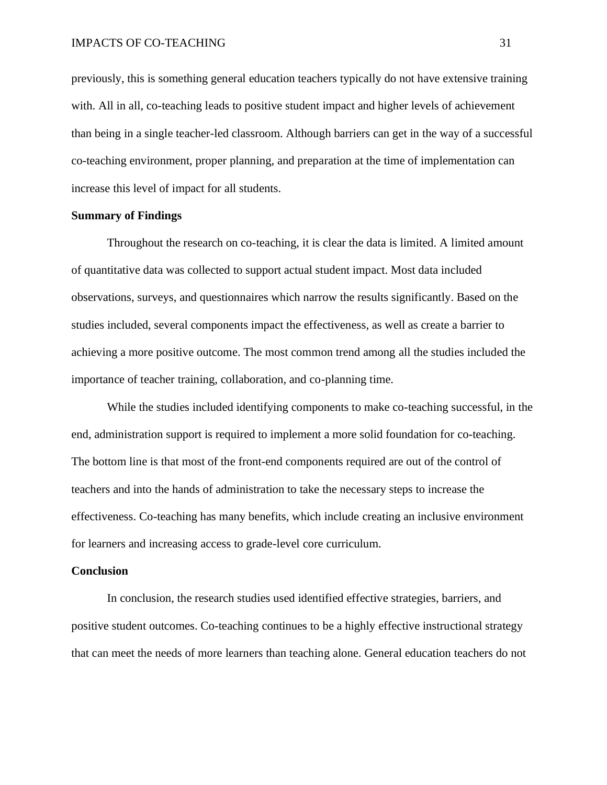previously, this is something general education teachers typically do not have extensive training with. All in all, co-teaching leads to positive student impact and higher levels of achievement than being in a single teacher-led classroom. Although barriers can get in the way of a successful co-teaching environment, proper planning, and preparation at the time of implementation can increase this level of impact for all students.

# **Summary of Findings**

Throughout the research on co-teaching, it is clear the data is limited. A limited amount of quantitative data was collected to support actual student impact. Most data included observations, surveys, and questionnaires which narrow the results significantly. Based on the studies included, several components impact the effectiveness, as well as create a barrier to achieving a more positive outcome. The most common trend among all the studies included the importance of teacher training, collaboration, and co-planning time.

While the studies included identifying components to make co-teaching successful, in the end, administration support is required to implement a more solid foundation for co-teaching. The bottom line is that most of the front-end components required are out of the control of teachers and into the hands of administration to take the necessary steps to increase the effectiveness. Co-teaching has many benefits, which include creating an inclusive environment for learners and increasing access to grade-level core curriculum.

#### **Conclusion**

In conclusion, the research studies used identified effective strategies, barriers, and positive student outcomes. Co-teaching continues to be a highly effective instructional strategy that can meet the needs of more learners than teaching alone. General education teachers do not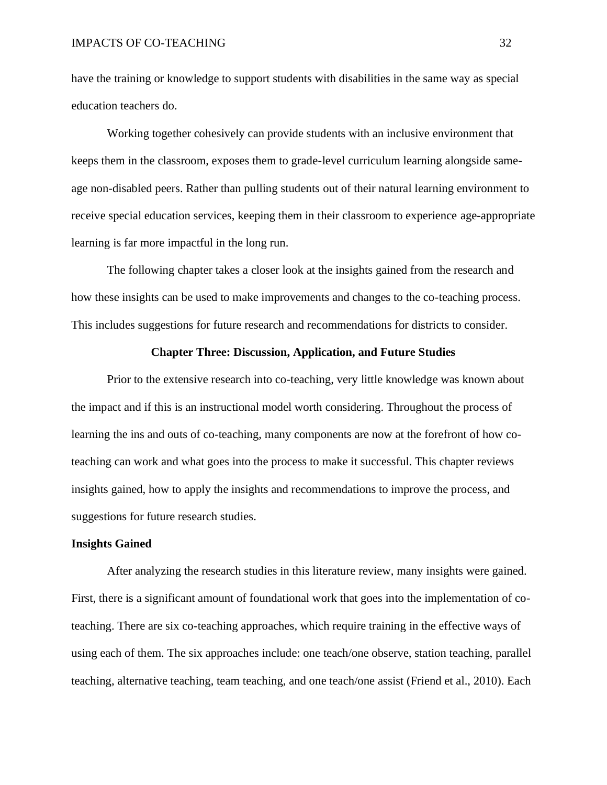have the training or knowledge to support students with disabilities in the same way as special education teachers do.

Working together cohesively can provide students with an inclusive environment that keeps them in the classroom, exposes them to grade-level curriculum learning alongside sameage non-disabled peers. Rather than pulling students out of their natural learning environment to receive special education services, keeping them in their classroom to experience age-appropriate learning is far more impactful in the long run.

The following chapter takes a closer look at the insights gained from the research and how these insights can be used to make improvements and changes to the co-teaching process. This includes suggestions for future research and recommendations for districts to consider.

# **Chapter Three: Discussion, Application, and Future Studies**

Prior to the extensive research into co-teaching, very little knowledge was known about the impact and if this is an instructional model worth considering. Throughout the process of learning the ins and outs of co-teaching, many components are now at the forefront of how coteaching can work and what goes into the process to make it successful. This chapter reviews insights gained, how to apply the insights and recommendations to improve the process, and suggestions for future research studies.

# **Insights Gained**

After analyzing the research studies in this literature review, many insights were gained. First, there is a significant amount of foundational work that goes into the implementation of coteaching. There are six co-teaching approaches, which require training in the effective ways of using each of them. The six approaches include: one teach/one observe, station teaching, parallel teaching, alternative teaching, team teaching, and one teach/one assist (Friend et al., 2010). Each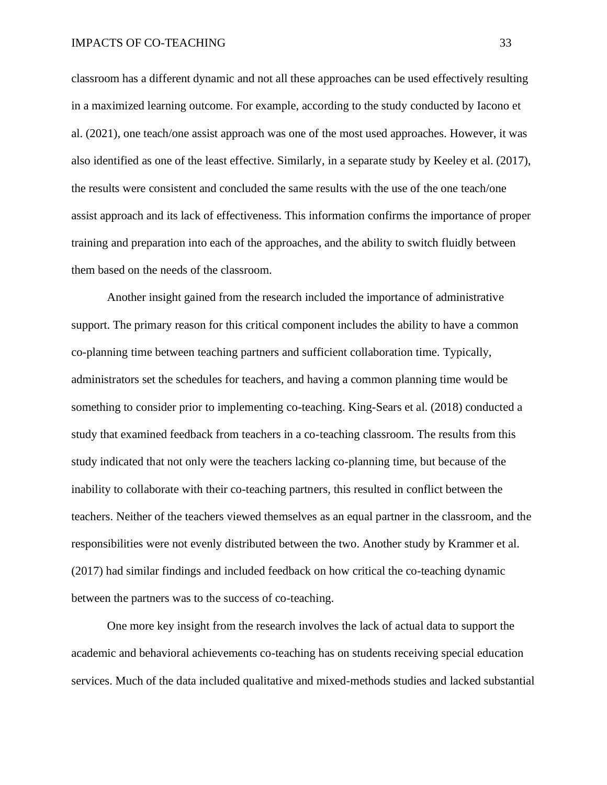classroom has a different dynamic and not all these approaches can be used effectively resulting in a maximized learning outcome. For example, according to the study conducted by Iacono et al. (2021), one teach/one assist approach was one of the most used approaches. However, it was also identified as one of the least effective. Similarly, in a separate study by Keeley et al. (2017), the results were consistent and concluded the same results with the use of the one teach/one assist approach and its lack of effectiveness. This information confirms the importance of proper training and preparation into each of the approaches, and the ability to switch fluidly between them based on the needs of the classroom.

Another insight gained from the research included the importance of administrative support. The primary reason for this critical component includes the ability to have a common co-planning time between teaching partners and sufficient collaboration time. Typically, administrators set the schedules for teachers, and having a common planning time would be something to consider prior to implementing co-teaching. King-Sears et al. (2018) conducted a study that examined feedback from teachers in a co-teaching classroom. The results from this study indicated that not only were the teachers lacking co-planning time, but because of the inability to collaborate with their co-teaching partners, this resulted in conflict between the teachers. Neither of the teachers viewed themselves as an equal partner in the classroom, and the responsibilities were not evenly distributed between the two. Another study by Krammer et al. (2017) had similar findings and included feedback on how critical the co-teaching dynamic between the partners was to the success of co-teaching.

One more key insight from the research involves the lack of actual data to support the academic and behavioral achievements co-teaching has on students receiving special education services. Much of the data included qualitative and mixed-methods studies and lacked substantial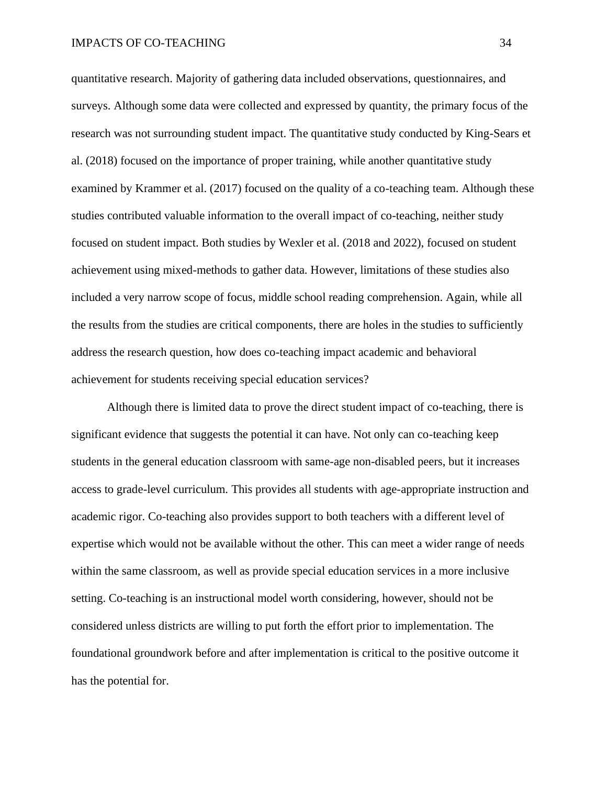quantitative research. Majority of gathering data included observations, questionnaires, and surveys. Although some data were collected and expressed by quantity, the primary focus of the research was not surrounding student impact. The quantitative study conducted by King-Sears et al. (2018) focused on the importance of proper training, while another quantitative study examined by Krammer et al. (2017) focused on the quality of a co-teaching team. Although these studies contributed valuable information to the overall impact of co-teaching, neither study focused on student impact. Both studies by Wexler et al. (2018 and 2022), focused on student achievement using mixed-methods to gather data. However, limitations of these studies also included a very narrow scope of focus, middle school reading comprehension. Again, while all the results from the studies are critical components, there are holes in the studies to sufficiently address the research question, how does co-teaching impact academic and behavioral achievement for students receiving special education services?

Although there is limited data to prove the direct student impact of co-teaching, there is significant evidence that suggests the potential it can have. Not only can co-teaching keep students in the general education classroom with same-age non-disabled peers, but it increases access to grade-level curriculum. This provides all students with age-appropriate instruction and academic rigor. Co-teaching also provides support to both teachers with a different level of expertise which would not be available without the other. This can meet a wider range of needs within the same classroom, as well as provide special education services in a more inclusive setting. Co-teaching is an instructional model worth considering, however, should not be considered unless districts are willing to put forth the effort prior to implementation. The foundational groundwork before and after implementation is critical to the positive outcome it has the potential for.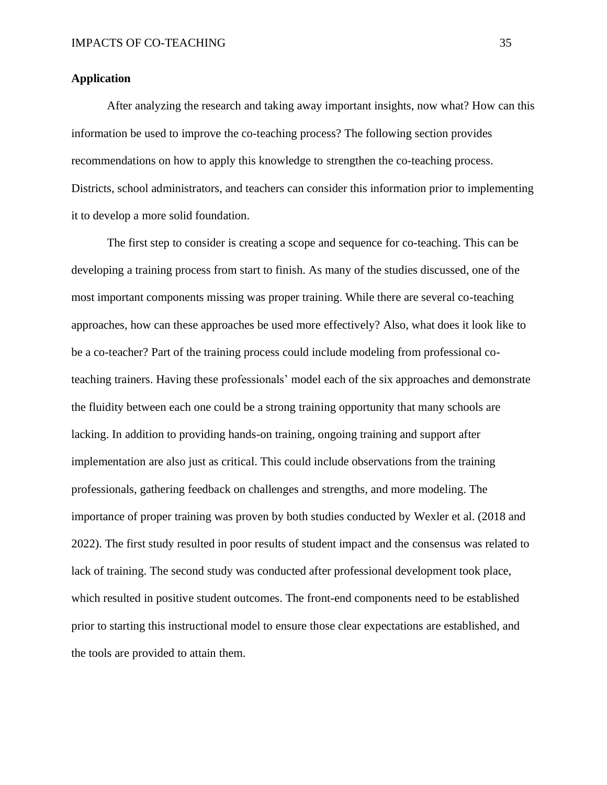# **Application**

After analyzing the research and taking away important insights, now what? How can this information be used to improve the co-teaching process? The following section provides recommendations on how to apply this knowledge to strengthen the co-teaching process. Districts, school administrators, and teachers can consider this information prior to implementing it to develop a more solid foundation.

The first step to consider is creating a scope and sequence for co-teaching. This can be developing a training process from start to finish. As many of the studies discussed, one of the most important components missing was proper training. While there are several co-teaching approaches, how can these approaches be used more effectively? Also, what does it look like to be a co-teacher? Part of the training process could include modeling from professional coteaching trainers. Having these professionals' model each of the six approaches and demonstrate the fluidity between each one could be a strong training opportunity that many schools are lacking. In addition to providing hands-on training, ongoing training and support after implementation are also just as critical. This could include observations from the training professionals, gathering feedback on challenges and strengths, and more modeling. The importance of proper training was proven by both studies conducted by Wexler et al. (2018 and 2022). The first study resulted in poor results of student impact and the consensus was related to lack of training. The second study was conducted after professional development took place, which resulted in positive student outcomes. The front-end components need to be established prior to starting this instructional model to ensure those clear expectations are established, and the tools are provided to attain them.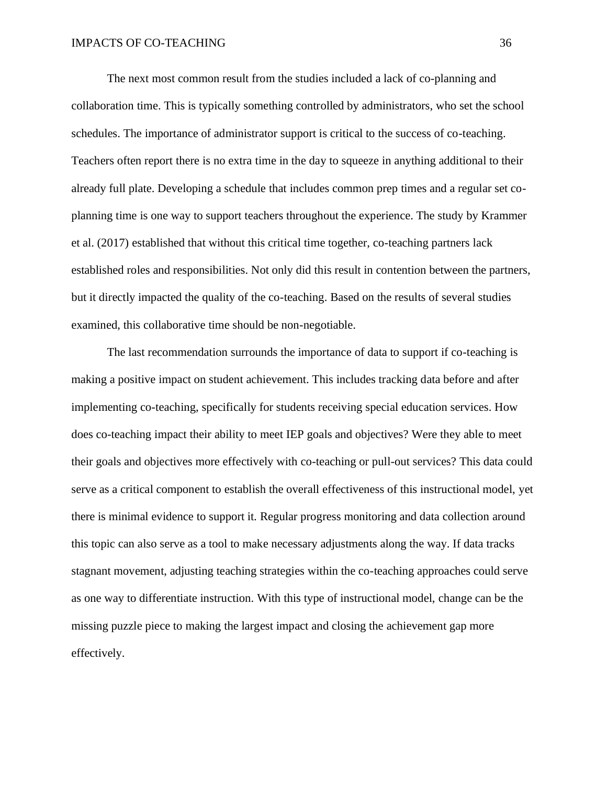The next most common result from the studies included a lack of co-planning and collaboration time. This is typically something controlled by administrators, who set the school schedules. The importance of administrator support is critical to the success of co-teaching. Teachers often report there is no extra time in the day to squeeze in anything additional to their already full plate. Developing a schedule that includes common prep times and a regular set coplanning time is one way to support teachers throughout the experience. The study by Krammer et al. (2017) established that without this critical time together, co-teaching partners lack established roles and responsibilities. Not only did this result in contention between the partners, but it directly impacted the quality of the co-teaching. Based on the results of several studies examined, this collaborative time should be non-negotiable.

The last recommendation surrounds the importance of data to support if co-teaching is making a positive impact on student achievement. This includes tracking data before and after implementing co-teaching, specifically for students receiving special education services. How does co-teaching impact their ability to meet IEP goals and objectives? Were they able to meet their goals and objectives more effectively with co-teaching or pull-out services? This data could serve as a critical component to establish the overall effectiveness of this instructional model, yet there is minimal evidence to support it. Regular progress monitoring and data collection around this topic can also serve as a tool to make necessary adjustments along the way. If data tracks stagnant movement, adjusting teaching strategies within the co-teaching approaches could serve as one way to differentiate instruction. With this type of instructional model, change can be the missing puzzle piece to making the largest impact and closing the achievement gap more effectively.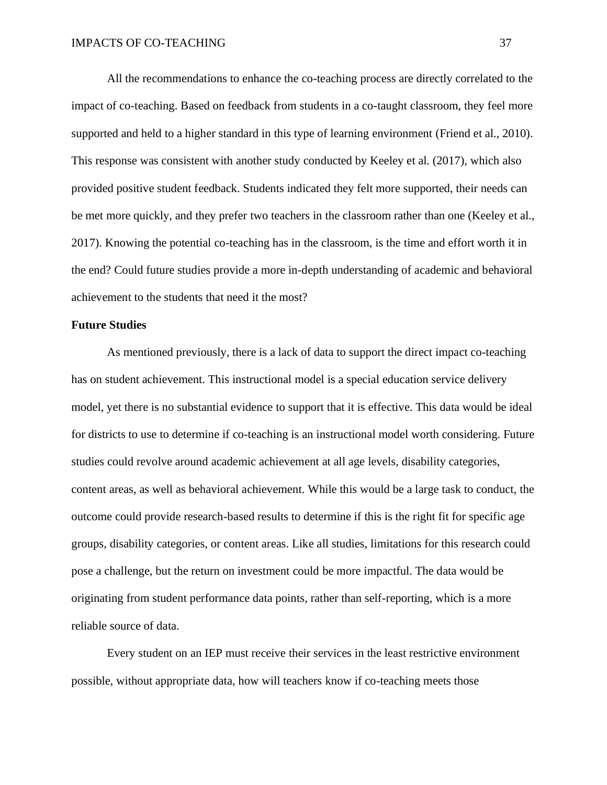All the recommendations to enhance the co-teaching process are directly correlated to the impact of co-teaching. Based on feedback from students in a co-taught classroom, they feel more supported and held to a higher standard in this type of learning environment (Friend et al., 2010). This response was consistent with another study conducted by Keeley et al. (2017), which also provided positive student feedback. Students indicated they felt more supported, their needs can be met more quickly, and they prefer two teachers in the classroom rather than one (Keeley et al., 2017). Knowing the potential co-teaching has in the classroom, is the time and effort worth it in the end? Could future studies provide a more in-depth understanding of academic and behavioral achievement to the students that need it the most?

#### **Future Studies**

As mentioned previously, there is a lack of data to support the direct impact co-teaching has on student achievement. This instructional model is a special education service delivery model, yet there is no substantial evidence to support that it is effective. This data would be ideal for districts to use to determine if co-teaching is an instructional model worth considering. Future studies could revolve around academic achievement at all age levels, disability categories, content areas, as well as behavioral achievement. While this would be a large task to conduct, the outcome could provide research-based results to determine if this is the right fit for specific age groups, disability categories, or content areas. Like all studies, limitations for this research could pose a challenge, but the return on investment could be more impactful. The data would be originating from student performance data points, rather than self-reporting, which is a more reliable source of data.

Every student on an IEP must receive their services in the least restrictive environment possible, without appropriate data, how will teachers know if co-teaching meets those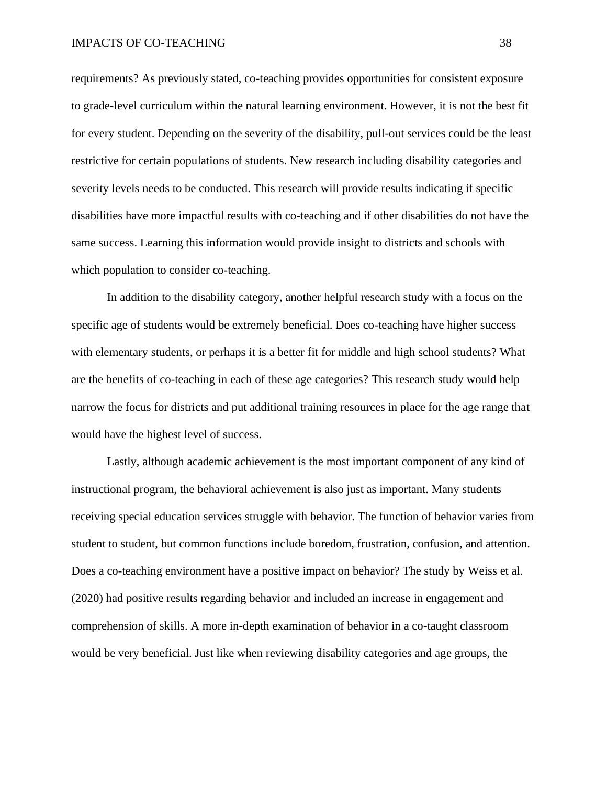requirements? As previously stated, co-teaching provides opportunities for consistent exposure to grade-level curriculum within the natural learning environment. However, it is not the best fit for every student. Depending on the severity of the disability, pull-out services could be the least restrictive for certain populations of students. New research including disability categories and severity levels needs to be conducted. This research will provide results indicating if specific disabilities have more impactful results with co-teaching and if other disabilities do not have the same success. Learning this information would provide insight to districts and schools with which population to consider co-teaching.

In addition to the disability category, another helpful research study with a focus on the specific age of students would be extremely beneficial. Does co-teaching have higher success with elementary students, or perhaps it is a better fit for middle and high school students? What are the benefits of co-teaching in each of these age categories? This research study would help narrow the focus for districts and put additional training resources in place for the age range that would have the highest level of success.

Lastly, although academic achievement is the most important component of any kind of instructional program, the behavioral achievement is also just as important. Many students receiving special education services struggle with behavior. The function of behavior varies from student to student, but common functions include boredom, frustration, confusion, and attention. Does a co-teaching environment have a positive impact on behavior? The study by Weiss et al. (2020) had positive results regarding behavior and included an increase in engagement and comprehension of skills. A more in-depth examination of behavior in a co-taught classroom would be very beneficial. Just like when reviewing disability categories and age groups, the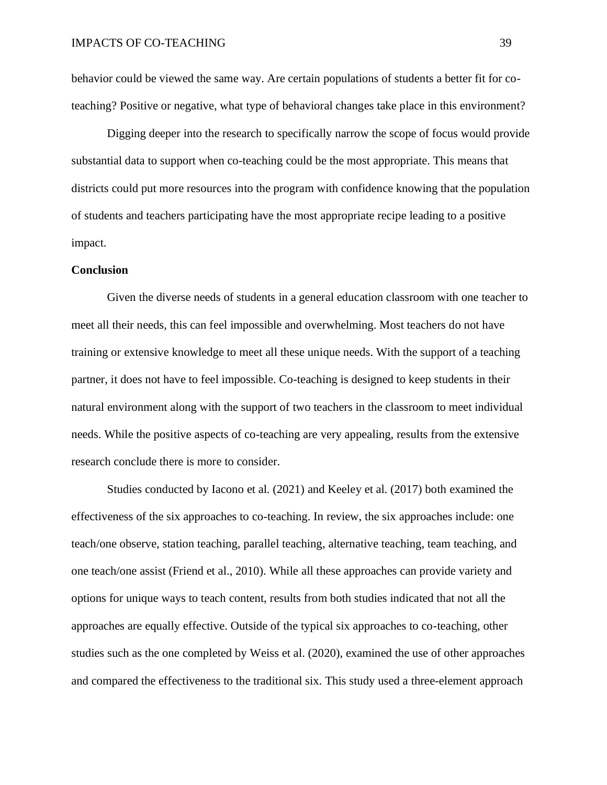behavior could be viewed the same way. Are certain populations of students a better fit for coteaching? Positive or negative, what type of behavioral changes take place in this environment?

Digging deeper into the research to specifically narrow the scope of focus would provide substantial data to support when co-teaching could be the most appropriate. This means that districts could put more resources into the program with confidence knowing that the population of students and teachers participating have the most appropriate recipe leading to a positive impact.

#### **Conclusion**

Given the diverse needs of students in a general education classroom with one teacher to meet all their needs, this can feel impossible and overwhelming. Most teachers do not have training or extensive knowledge to meet all these unique needs. With the support of a teaching partner, it does not have to feel impossible. Co-teaching is designed to keep students in their natural environment along with the support of two teachers in the classroom to meet individual needs. While the positive aspects of co-teaching are very appealing, results from the extensive research conclude there is more to consider.

Studies conducted by Iacono et al. (2021) and Keeley et al. (2017) both examined the effectiveness of the six approaches to co-teaching. In review, the six approaches include: one teach/one observe, station teaching, parallel teaching, alternative teaching, team teaching, and one teach/one assist (Friend et al., 2010). While all these approaches can provide variety and options for unique ways to teach content, results from both studies indicated that not all the approaches are equally effective. Outside of the typical six approaches to co-teaching, other studies such as the one completed by Weiss et al. (2020), examined the use of other approaches and compared the effectiveness to the traditional six. This study used a three-element approach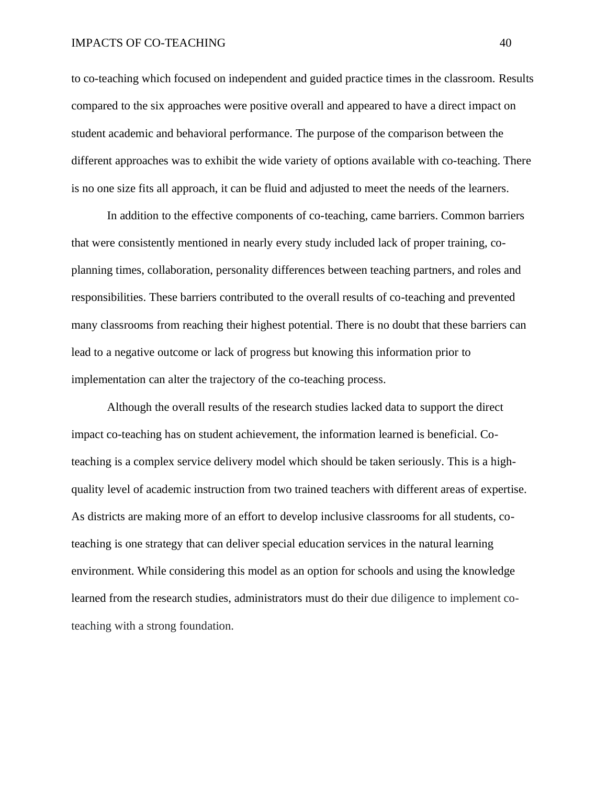to co-teaching which focused on independent and guided practice times in the classroom. Results compared to the six approaches were positive overall and appeared to have a direct impact on student academic and behavioral performance. The purpose of the comparison between the different approaches was to exhibit the wide variety of options available with co-teaching. There is no one size fits all approach, it can be fluid and adjusted to meet the needs of the learners.

In addition to the effective components of co-teaching, came barriers. Common barriers that were consistently mentioned in nearly every study included lack of proper training, coplanning times, collaboration, personality differences between teaching partners, and roles and responsibilities. These barriers contributed to the overall results of co-teaching and prevented many classrooms from reaching their highest potential. There is no doubt that these barriers can lead to a negative outcome or lack of progress but knowing this information prior to implementation can alter the trajectory of the co-teaching process.

Although the overall results of the research studies lacked data to support the direct impact co-teaching has on student achievement, the information learned is beneficial. Coteaching is a complex service delivery model which should be taken seriously. This is a highquality level of academic instruction from two trained teachers with different areas of expertise. As districts are making more of an effort to develop inclusive classrooms for all students, coteaching is one strategy that can deliver special education services in the natural learning environment. While considering this model as an option for schools and using the knowledge learned from the research studies, administrators must do their due diligence to implement coteaching with a strong foundation.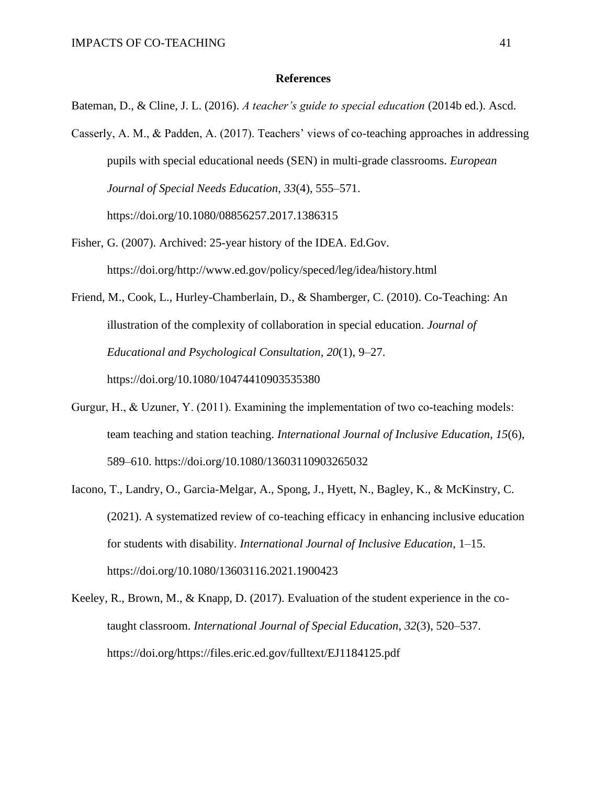#### **References**

Bateman, D., & Cline, J. L. (2016). *A teacher's guide to special education* (2014b ed.). Ascd.

- Casserly, A. M., & Padden, A. (2017). Teachers' views of co-teaching approaches in addressing pupils with special educational needs (SEN) in multi-grade classrooms. *European Journal of Special Needs Education*, *33*(4), 555–571. https://doi.org/10.1080/08856257.2017.1386315
- Fisher, G. (2007). Archived: 25-year history of the IDEA. Ed.Gov. [https://doi.org/http://www.ed.gov/policy/speced/leg/idea/history.html](https://doi.org/http:/www.ed.gov/policy/speced/leg/idea/history.html)
- Friend, M., Cook, L., Hurley-Chamberlain, D., & Shamberger, C. (2010). Co-Teaching: An illustration of the complexity of collaboration in special education. *Journal of Educational and Psychological Consultation*, *20*(1), 9–27. https://doi.org/10.1080/10474410903535380
- Gurgur, H., & Uzuner, Y. (2011). Examining the implementation of two co-teaching models: team teaching and station teaching. *International Journal of Inclusive Education*, *15*(6), 589–610.<https://doi.org/10.1080/13603110903265032>
- Iacono, T., Landry, O., Garcia-Melgar, A., Spong, J., Hyett, N., Bagley, K., & McKinstry, C. (2021). A systematized review of co-teaching efficacy in enhancing inclusive education for students with disability. *International Journal of Inclusive Education*, 1–15. https://doi.org/10.1080/13603116.2021.1900423
- Keeley, R., Brown, M., & Knapp, D. (2017). Evaluation of the student experience in the cotaught classroom. *International Journal of Special Education*, *32*(3), 520–537. https://doi.org/https://files.eric.ed.gov/fulltext/EJ1184125.pdf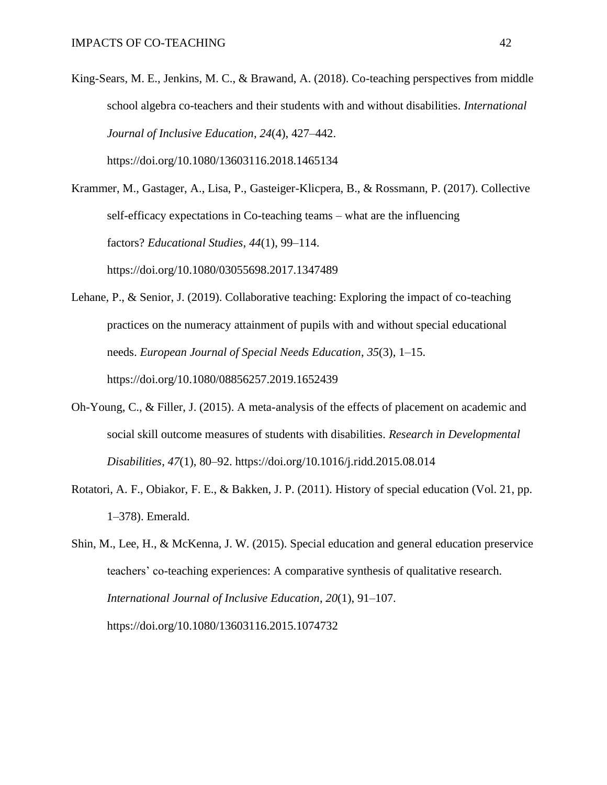- King-Sears, M. E., Jenkins, M. C., & Brawand, A. (2018). Co-teaching perspectives from middle school algebra co-teachers and their students with and without disabilities. *International Journal of Inclusive Education*, *24*(4), 427–442. <https://doi.org/10.1080/13603116.2018.1465134>
- Krammer, M., Gastager, A., Lisa, P., Gasteiger-Klicpera, B., & Rossmann, P. (2017). Collective self-efficacy expectations in Co-teaching teams – what are the influencing factors? *Educational Studies*, *44*(1), 99–114. https://doi.org/10.1080/03055698.2017.1347489
- Lehane, P., & Senior, J. (2019). Collaborative teaching: Exploring the impact of co-teaching practices on the numeracy attainment of pupils with and without special educational needs. *European Journal of Special Needs Education*, *35*(3), 1–15. https://doi.org/10.1080/08856257.2019.1652439
- Oh-Young, C., & Filler, J. (2015). A meta-analysis of the effects of placement on academic and social skill outcome measures of students with disabilities. *Research in Developmental Disabilities*, *47*(1), 80–92. https://doi.org/10.1016/j.ridd.2015.08.014
- Rotatori, A. F., Obiakor, F. E., & Bakken, J. P. (2011). History of special education (Vol. 21, pp. 1–378). Emerald.
- Shin, M., Lee, H., & McKenna, J. W. (2015). Special education and general education preservice teachers' co-teaching experiences: A comparative synthesis of qualitative research. *International Journal of Inclusive Education*, *20*(1), 91–107. https://doi.org/10.1080/13603116.2015.1074732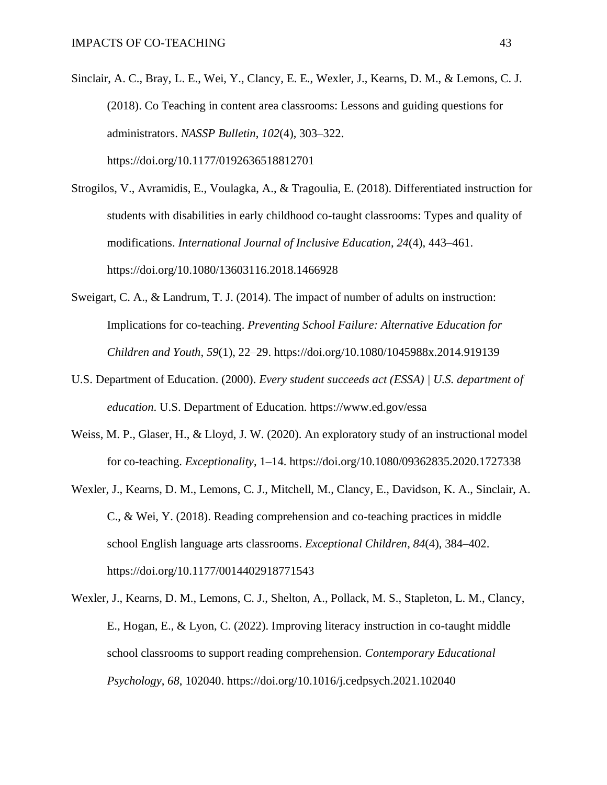- Sinclair, A. C., Bray, L. E., Wei, Y., Clancy, E. E., Wexler, J., Kearns, D. M., & Lemons, C. J. (2018). Co Teaching in content area classrooms: Lessons and guiding questions for administrators. *NASSP Bulletin*, *102*(4), 303–322. https://doi.org/10.1177/0192636518812701
- Strogilos, V., Avramidis, E., Voulagka, A., & Tragoulia, E. (2018). Differentiated instruction for students with disabilities in early childhood co-taught classrooms: Types and quality of modifications. *International Journal of Inclusive Education*, *24*(4), 443–461. https://doi.org/10.1080/13603116.2018.1466928
- Sweigart, C. A., & Landrum, T. J. (2014). The impact of number of adults on instruction: Implications for co-teaching. *Preventing School Failure: Alternative Education for Children and Youth*, *59*(1), 22–29. https://doi.org/10.1080/1045988x.2014.919139
- U.S. Department of Education. (2000). *Every student succeeds act (ESSA) | U.S. department of education*. U.S. Department of Education. https://www.ed.gov/essa
- Weiss, M. P., Glaser, H., & Lloyd, J. W. (2020). An exploratory study of an instructional model for co-teaching. *Exceptionality*, 1–14. https://doi.org/10.1080/09362835.2020.1727338
- Wexler, J., Kearns, D. M., Lemons, C. J., Mitchell, M., Clancy, E., Davidson, K. A., Sinclair, A. C., & Wei, Y. (2018). Reading comprehension and co-teaching practices in middle school English language arts classrooms. *Exceptional Children*, *84*(4), 384–402. https://doi.org/10.1177/0014402918771543
- Wexler, J., Kearns, D. M., Lemons, C. J., Shelton, A., Pollack, M. S., Stapleton, L. M., Clancy, E., Hogan, E., & Lyon, C. (2022). Improving literacy instruction in co-taught middle school classrooms to support reading comprehension. *Contemporary Educational Psychology*, *68*, 102040. https://doi.org/10.1016/j.cedpsych.2021.102040